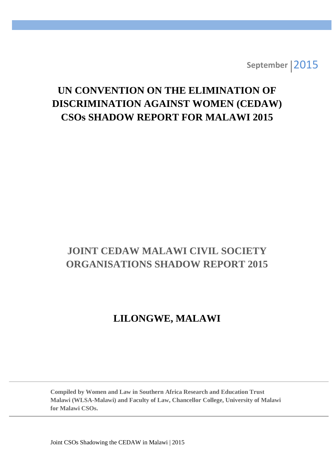**September** 2015

# **UN CONVENTION ON THE ELIMINATION OF DISCRIMINATION AGAINST WOMEN (CEDAW) CSOs SHADOW REPORT FOR MALAWI 2015**

## **JOINT CEDAW MALAWI CIVIL SOCIETY ORGANISATIONS SHADOW REPORT 2015**

## **LILONGWE, MALAWI**

**Compiled by Women and Law in Southern Africa Research and Education Trust Malawi (WLSA-Malawi) and Faculty of Law, Chancellor College, University of Malawi for Malawi CSOs.**

Joint CSOs Shadowing the CEDAW in Malawi | 2015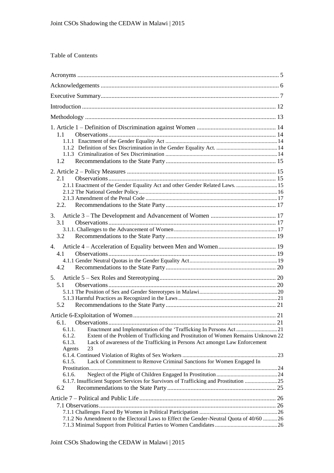## **Table of Contents**

| 1.1                                                                                                   |  |  |  |
|-------------------------------------------------------------------------------------------------------|--|--|--|
|                                                                                                       |  |  |  |
|                                                                                                       |  |  |  |
| 1.2                                                                                                   |  |  |  |
|                                                                                                       |  |  |  |
| 2.1                                                                                                   |  |  |  |
| 2.1.1 Enactment of the Gender Equality Act and other Gender Related Laws.  15                         |  |  |  |
|                                                                                                       |  |  |  |
| 2.2.                                                                                                  |  |  |  |
|                                                                                                       |  |  |  |
| 3.                                                                                                    |  |  |  |
| 3.1                                                                                                   |  |  |  |
| 3.2                                                                                                   |  |  |  |
|                                                                                                       |  |  |  |
| 4.<br>4.1                                                                                             |  |  |  |
|                                                                                                       |  |  |  |
| 4.2                                                                                                   |  |  |  |
| 5.                                                                                                    |  |  |  |
| 5.1                                                                                                   |  |  |  |
|                                                                                                       |  |  |  |
|                                                                                                       |  |  |  |
| 5.2                                                                                                   |  |  |  |
|                                                                                                       |  |  |  |
|                                                                                                       |  |  |  |
| Enactment and Implementation of the 'Trafficking In Persons Act21<br>6.1.1.                           |  |  |  |
| 6.1.2.<br>Extent of the Problem of Trafficking and Prostitution of Women Remains Unknown 22           |  |  |  |
| Lack of awareness of the Trafficking in Persons Act amongst Law Enforcement<br>6.1.3.<br>Agents<br>23 |  |  |  |
|                                                                                                       |  |  |  |
| Lack of Commitment to Remove Criminal Sanctions for Women Engaged In<br>6.1.5.                        |  |  |  |
|                                                                                                       |  |  |  |
| 6.1.6.<br>6.1.7. Insufficient Support Services for Survivors of Trafficking and Prostitution 25       |  |  |  |
| 6.2                                                                                                   |  |  |  |
|                                                                                                       |  |  |  |
|                                                                                                       |  |  |  |
|                                                                                                       |  |  |  |
| 7.1.2 No Amendment to the Electoral Laws to Effect the Gender-Neutral Quota of 40/60 26               |  |  |  |
|                                                                                                       |  |  |  |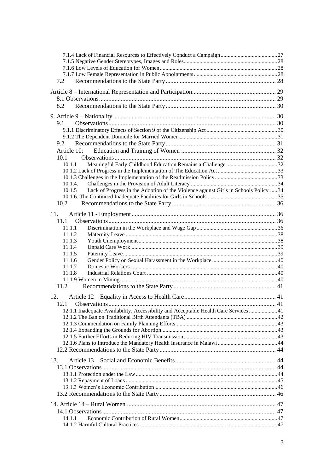| 7.2                                                                                            |  |
|------------------------------------------------------------------------------------------------|--|
|                                                                                                |  |
|                                                                                                |  |
| 8.2                                                                                            |  |
|                                                                                                |  |
| 9.1                                                                                            |  |
|                                                                                                |  |
|                                                                                                |  |
| 9.2                                                                                            |  |
| Article 10:                                                                                    |  |
| 10.1                                                                                           |  |
| 10.1.1                                                                                         |  |
|                                                                                                |  |
|                                                                                                |  |
| 10.1.4.                                                                                        |  |
| Lack of Progress in the Adoption of the Violence against Girls in Schools Policy  34<br>10.1.5 |  |
| 10.2                                                                                           |  |
|                                                                                                |  |
| 11.                                                                                            |  |
| 11.1                                                                                           |  |
| 11.1.1                                                                                         |  |
| 11.1.2                                                                                         |  |
| 11.1.3                                                                                         |  |
| 11.1.4<br>11.1.5                                                                               |  |
| 11.1.6                                                                                         |  |
| 11.1.7                                                                                         |  |
| 11.1.8                                                                                         |  |
|                                                                                                |  |
| 11.2                                                                                           |  |
| 12.                                                                                            |  |
|                                                                                                |  |
| 12.1.1 Inadequate Availability, Accessibility and Acceptable Health Care Services  41          |  |
|                                                                                                |  |
|                                                                                                |  |
|                                                                                                |  |
|                                                                                                |  |
|                                                                                                |  |
|                                                                                                |  |
| 13.                                                                                            |  |
|                                                                                                |  |
|                                                                                                |  |
|                                                                                                |  |
|                                                                                                |  |
|                                                                                                |  |
|                                                                                                |  |
|                                                                                                |  |
| 14.1.1                                                                                         |  |
|                                                                                                |  |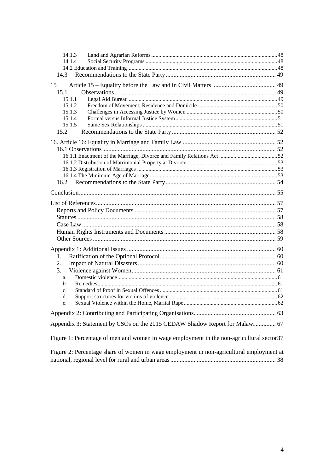| 14.1.3                                                                                     |  |  |
|--------------------------------------------------------------------------------------------|--|--|
| 14.1.4                                                                                     |  |  |
|                                                                                            |  |  |
|                                                                                            |  |  |
| 15                                                                                         |  |  |
| 15.1<br>15.1.1                                                                             |  |  |
| 15.1.2                                                                                     |  |  |
| 15.1.3                                                                                     |  |  |
| 15.1.4                                                                                     |  |  |
| 15.1.5                                                                                     |  |  |
| 15.2                                                                                       |  |  |
|                                                                                            |  |  |
|                                                                                            |  |  |
|                                                                                            |  |  |
|                                                                                            |  |  |
|                                                                                            |  |  |
|                                                                                            |  |  |
|                                                                                            |  |  |
|                                                                                            |  |  |
|                                                                                            |  |  |
|                                                                                            |  |  |
|                                                                                            |  |  |
|                                                                                            |  |  |
|                                                                                            |  |  |
|                                                                                            |  |  |
|                                                                                            |  |  |
|                                                                                            |  |  |
| 1.                                                                                         |  |  |
| 2.                                                                                         |  |  |
|                                                                                            |  |  |
| 3.                                                                                         |  |  |
| a.<br>b.                                                                                   |  |  |
| C <sub>1</sub>                                                                             |  |  |
| d.                                                                                         |  |  |
|                                                                                            |  |  |
|                                                                                            |  |  |
|                                                                                            |  |  |
| Appendix 3: Statement by CSOs on the 2015 CEDAW Shadow Report for Malawi  67               |  |  |
| Figure 1: Percentage of men and women in wage employment in the non-agricultural sector 37 |  |  |
| Figure 2: Percentage share of women in wage employment in non-agricultural employment at   |  |  |
|                                                                                            |  |  |
|                                                                                            |  |  |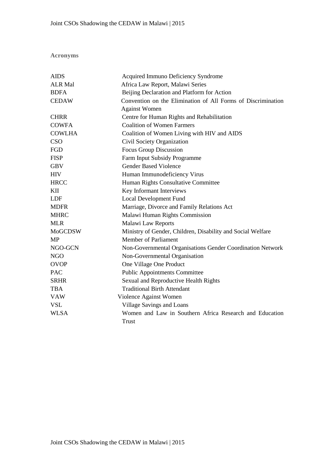**Acronyms**

| <b>AIDS</b>    | Acquired Immuno Deficiency Syndrome                          |  |  |
|----------------|--------------------------------------------------------------|--|--|
| <b>ALR Mal</b> | Africa Law Report, Malawi Series                             |  |  |
| <b>BDFA</b>    | Beijing Declaration and Platform for Action                  |  |  |
| <b>CEDAW</b>   | Convention on the Elimination of All Forms of Discrimination |  |  |
|                | <b>Against Women</b>                                         |  |  |
| <b>CHRR</b>    | Centre for Human Rights and Rehabilitation                   |  |  |
| <b>COWFA</b>   | <b>Coalition of Women Farmers</b>                            |  |  |
| <b>COWLHA</b>  | Coalition of Women Living with HIV and AIDS                  |  |  |
| <b>CSO</b>     | Civil Society Organization                                   |  |  |
| FGD            | <b>Focus Group Discussion</b>                                |  |  |
| <b>FISP</b>    | Farm Input Subsidy Programme                                 |  |  |
| <b>GBV</b>     | <b>Gender Based Violence</b>                                 |  |  |
| <b>HIV</b>     | Human Immunodeficiency Virus                                 |  |  |
| <b>HRCC</b>    | Human Rights Consultative Committee                          |  |  |
| KП             | Key Informant Interviews                                     |  |  |
| <b>LDF</b>     | Local Development Fund                                       |  |  |
| <b>MDFR</b>    | Marriage, Divorce and Family Relations Act                   |  |  |
| <b>MHRC</b>    | Malawi Human Rights Commission                               |  |  |
| <b>MLR</b>     | Malawi Law Reports                                           |  |  |
| <b>MoGCDSW</b> | Ministry of Gender, Children, Disability and Social Welfare  |  |  |
| <b>MP</b>      | <b>Member of Parliament</b>                                  |  |  |
| NGO-GCN        | Non-Governmental Organisations Gender Coordination Network   |  |  |
| <b>NGO</b>     | Non-Governmental Organisation                                |  |  |
| <b>OVOP</b>    | One Village One Product                                      |  |  |
| <b>PAC</b>     | <b>Public Appointments Committee</b>                         |  |  |
| <b>SRHR</b>    | Sexual and Reproductive Health Rights                        |  |  |
| <b>TBA</b>     | <b>Traditional Birth Attendant</b>                           |  |  |
| <b>VAW</b>     | Violence Against Women                                       |  |  |
| <b>VSL</b>     | Village Savings and Loans                                    |  |  |
| <b>WLSA</b>    | Women and Law in Southern Africa Research and Education      |  |  |
|                | Trust                                                        |  |  |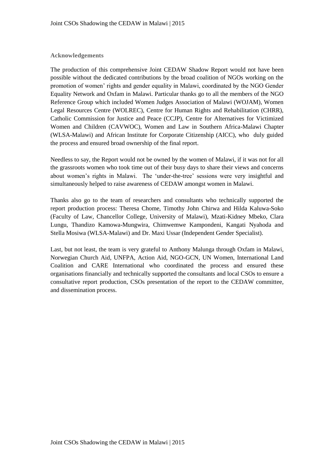## **Acknowledgements**

The production of this comprehensive Joint CEDAW Shadow Report would not have been possible without the dedicated contributions by the broad coalition of NGOs working on the promotion of women" rights and gender equality in Malawi, coordinated by the NGO Gender Equality Network and Oxfam in Malawi. Particular thanks go to all the members of the NGO Reference Group which included Women Judges Association of Malawi (WOJAM), Women Legal Resources Centre (WOLREC), Centre for Human Rights and Rehabilitation (CHRR), Catholic Commission for Justice and Peace (CCJP), Centre for Alternatives for Victimized Women and Children (CAVWOC), Women and Law in Southern Africa-Malawi Chapter (WLSA-Malawi) and African Institute for Corporate Citizenship (AICC), who duly guided the process and ensured broad ownership of the final report.

Needless to say, the Report would not be owned by the women of Malawi, if it was not for all the grassroots women who took time out of their busy days to share their views and concerns about women"s rights in Malawi. The "under-the-tree" sessions were very insightful and simultaneously helped to raise awareness of CEDAW amongst women in Malawi.

Thanks also go to the team of researchers and consultants who technically supported the report production process: Theresa Chome, Timothy John Chirwa and Hilda Kaluwa-Soko (Faculty of Law, Chancellor College, University of Malawi), Mzati-Kidney Mbeko, Clara Lungu, Thandizo Kamowa-Mungwira, Chimwemwe Kampondeni, Kangati Nyahoda and Stella Mosiwa (WLSA-Malawi) and Dr. Maxi Ussar (Independent Gender Specialist).

Last, but not least, the team is very grateful to Anthony Malunga through Oxfam in Malawi, Norwegian Church Aid, UNFPA, Action Aid, NGO-GCN, UN Women, International Land Coalition and CARE International who coordinated the process and ensured these organisations financially and technically supported the consultants and local CSOs to ensure a consultative report production, CSOs presentation of the report to the CEDAW committee, and dissemination process.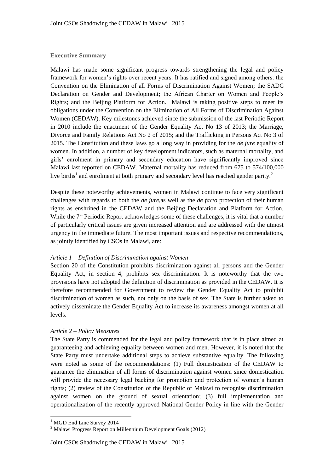## **Executive Summary**

Malawi has made some significant progress towards strengthening the legal and policy framework for women"s rights over recent years. It has ratified and signed among others: the Convention on the Elimination of all Forms of Discrimination Against Women; the SADC Declaration on Gender and Development; the African Charter on Women and People"s Rights; and the Beijing Platform for Action. Malawi is taking positive steps to meet its obligations under the Convention on the Elimination of All Forms of Discrimination Against Women (CEDAW). Key milestones achieved since the submission of the last Periodic Report in 2010 include the enactment of the Gender Equality Act No 13 of 2013; the Marriage, Divorce and Family Relations Act No 2 of 2015; and the Trafficking in Persons Act No 3 of 2015. The Constitution and these laws go a long way in providing for the *de jure* equality of women. In addition, a number of key development indicators, such as maternal mortality, and girls" enrolment in primary and secondary education have significantly improved since Malawi last reported on CEDAW. Maternal mortality has reduced from 675 to 574/100,000 live births<sup>1</sup> and enrolment at both primary and secondary level has reached gender parity.<sup>2</sup>

Despite these noteworthy achievements, women in Malawi continue to face very significant challenges with regards to both the *de jure*,as well as the *de facto* protection of their human rights as enshrined in the CEDAW and the Beijing Declaration and Platform for Action. While the  $7<sup>th</sup>$  Periodic Report acknowledges some of these challenges, it is vital that a number of particularly critical issues are given increased attention and are addressed with the utmost urgency in the immediate future. The most important issues and respective recommendations, as jointly identified by CSOs in Malawi, are:

#### *Article 1 – Definition of Discrimination against Women*

Section 20 of the Constitution prohibits discrimination against all persons and the Gender Equality Act, in section 4, prohibits sex discrimination. It is noteworthy that the two provisions have not adopted the definition of discrimination as provided in the CEDAW. It is therefore recommended for Government to review the Gender Equality Act to prohibit discrimination of women as such, not only on the basis of sex. The State is further asked to actively disseminate the Gender Equality Act to increase its awareness amongst women at all levels.

#### *Article 2 – Policy Measures*

The State Party is commended for the legal and policy framework that is in place aimed at guaranteeing and achieving equality between women and men. However, it is noted that the State Party must undertake additional steps to achieve substantive equality. The following were noted as some of the recommendations: (1) Full domestication of the CEDAW to guarantee the elimination of all forms of discrimination against women since domestication will provide the necessary legal backing for promotion and protection of women's human rights; (2) review of the Constitution of the Republic of Malawi to recognise discrimination against women on the ground of sexual orientation; (3) full implementation and operationalization of the recently approved National Gender Policy in line with the Gender

 <sup>1</sup> MGD End Line Survey 2014

<sup>2</sup> Malawi Progress Report on Millennium Development Goals (2012)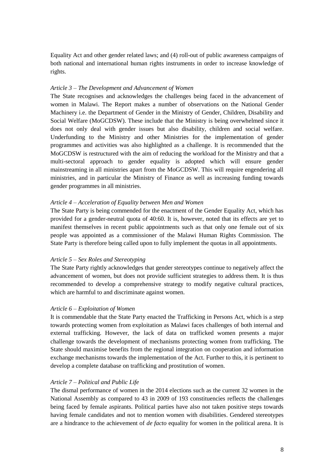Equality Act and other gender related laws; and (4) roll-out of public awareness campaigns of both national and international human rights instruments in order to increase knowledge of rights.

#### *Article 3 – The Development and Advancement of Women*

The State recognises and acknowledges the challenges being faced in the advancement of women in Malawi. The Report makes a number of observations on the National Gender Machinery i.e. the Department of Gender in the Ministry of Gender, Children, Disability and Social Welfare (MoGCDSW). These include that the Ministry is being overwhelmed since it does not only deal with gender issues but also disability, children and social welfare. Underfunding to the Ministry and other Ministries for the implementation of gender programmes and activities was also highlighted as a challenge. It is recommended that the MoGCDSW is restructured with the aim of reducing the workload for the Ministry and that a multi-sectoral approach to gender equality is adopted which will ensure gender mainstreaming in all ministries apart from the MoGCDSW. This will require engendering all ministries, and in particular the Ministry of Finance as well as increasing funding towards gender programmes in all ministries.

#### *Article 4 – Acceleration of Equality between Men and Women*

The State Party is being commended for the enactment of the Gender Equality Act, which has provided for a gender-neutral quota of 40:60. It is, however, noted that its effects are yet to manifest themselves in recent public appointments such as that only one female out of six people was appointed as a commissioner of the Malawi Human Rights Commission. The State Party is therefore being called upon to fully implement the quotas in all appointments.

#### *Article 5 – Sex Roles and Stereotyping*

The State Party rightly acknowledges that gender stereotypes continue to negatively affect the advancement of women, but does not provide sufficient strategies to address them. It is thus recommended to develop a comprehensive strategy to modify negative cultural practices, which are harmful to and discriminate against women.

#### *Article 6 – Exploitation of Women*

It is commendable that the State Party enacted the Trafficking in Persons Act, which is a step towards protecting women from exploitation as Malawi faces challenges of both internal and external trafficking. However, the lack of data on trafficked women presents a major challenge towards the development of mechanisms protecting women from trafficking. The State should maximise benefits from the regional integration on cooperation and information exchange mechanisms towards the implementation of the Act. Further to this, it is pertinent to develop a complete database on trafficking and prostitution of women.

#### *Article 7 – Political and Public Life*

The dismal performance of women in the 2014 elections such as the current 32 women in the National Assembly as compared to 43 in 2009 of 193 constituencies reflects the challenges being faced by female aspirants. Political parties have also not taken positive steps towards having female candidates and not to mention women with disabilities. Gendered stereotypes are a hindrance to the achievement of *de facto* equality for women in the political arena. It is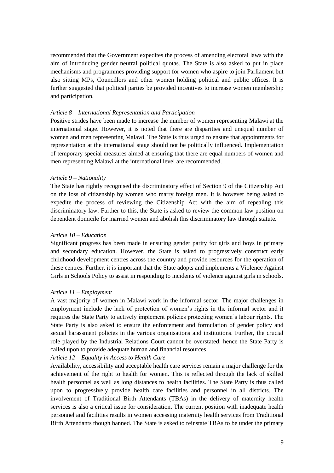recommended that the Government expedites the process of amending electoral laws with the aim of introducing gender neutral political quotas. The State is also asked to put in place mechanisms and programmes providing support for women who aspire to join Parliament but also sitting MPs, Councillors and other women holding political and public offices. It is further suggested that political parties be provided incentives to increase women membership and participation.

#### *Article 8 – International Representation and Participation*

Positive strides have been made to increase the number of women representing Malawi at the international stage. However, it is noted that there are disparities and unequal number of women and men representing Malawi. The State is thus urged to ensure that appointments for representation at the international stage should not be politically influenced. Implementation of temporary special measures aimed at ensuring that there are equal numbers of women and men representing Malawi at the international level are recommended.

#### *Article 9 – Nationality*

The State has rightly recognised the discriminatory effect of Section 9 of the Citizenship Act on the loss of citizenship by women who marry foreign men. It is however being asked to expedite the process of reviewing the Citizenship Act with the aim of repealing this discriminatory law. Further to this, the State is asked to review the common law position on dependent domicile for married women and abolish this discriminatory law through statute.

#### *Article 10 – Education*

Significant progress has been made in ensuring gender parity for girls and boys in primary and secondary education. However, the State is asked to progressively construct early childhood development centres across the country and provide resources for the operation of these centres. Further, it is important that the State adopts and implements a Violence Against Girls in Schools Policy to assist in responding to incidents of violence against girls in schools.

#### *Article 11 – Employment*

A vast majority of women in Malawi work in the informal sector. The major challenges in employment include the lack of protection of women"s rights in the informal sector and it requires the State Party to actively implement policies protecting women"s labour rights. The State Party is also asked to ensure the enforcement and formulation of gender policy and sexual harassment policies in the various organisations and institutions. Further, the crucial role played by the Industrial Relations Court cannot be overstated; hence the State Party is called upon to provide adequate human and financial resources.

#### *Article 12 – Equality in Access to Health Care*

Availability, accessibility and acceptable health care services remain a major challenge for the achievement of the right to health for women. This is reflected through the lack of skilled health personnel as well as long distances to health facilities. The State Party is thus called upon to progressively provide health care facilities and personnel in all districts. The involvement of Traditional Birth Attendants (TBAs) in the delivery of maternity health services is also a critical issue for consideration. The current position with inadequate health personnel and facilities results in women accessing maternity health services from Traditional Birth Attendants though banned. The State is asked to reinstate TBAs to be under the primary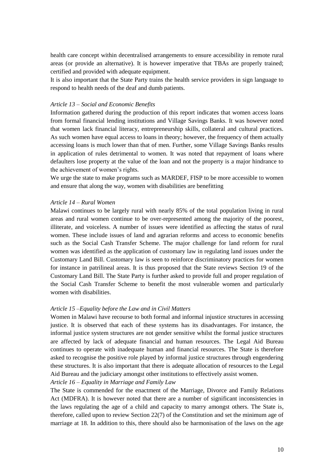health care concept within decentralised arrangements to ensure accessibility in remote rural areas (or provide an alternative). It is however imperative that TBAs are properly trained; certified and provided with adequate equipment.

It is also important that the State Party trains the health service providers in sign language to respond to health needs of the deaf and dumb patients.

#### *Article 13 – Social and Economic Benefits*

Information gathered during the production of this report indicates that women access loans from formal financial lending institutions and Village Savings Banks. It was however noted that women lack financial literacy, entrepreneurship skills, collateral and cultural practices. As such women have equal access to loans in theory; however, the frequency of them actually accessing loans is much lower than that of men. Further, some Village Savings Banks results in application of rules detrimental to women. It was noted that repayment of loans where defaulters lose property at the value of the loan and not the property is a major hindrance to the achievement of women"s rights.

We urge the state to make programs such as MARDEF, FISP to be more accessible to women and ensure that along the way, women with disabilities are benefitting

## *Article 14 – Rural Women*

Malawi continues to be largely rural with nearly 85% of the total population living in rural areas and rural women continue to be over-represented among the majority of the poorest, illiterate, and voiceless. A number of issues were identified as affecting the status of rural women. These include issues of land and agrarian reforms and access to economic benefits such as the Social Cash Transfer Scheme. The major challenge for land reform for rural women was identified as the application of customary law in regulating land issues under the Customary Land Bill. Customary law is seen to reinforce discriminatory practices for women for instance in patrilineal areas. It is thus proposed that the State reviews Section 19 of the Customary Land Bill. The State Party is further asked to provide full and proper regulation of the Social Cash Transfer Scheme to benefit the most vulnerable women and particularly women with disabilities.

#### *Article 15 –Equality before the Law and in Civil Matters*

Women in Malawi have recourse to both formal and informal injustice structures in accessing justice. It is observed that each of these systems has its disadvantages. For instance, the informal justice system structures are not gender sensitive whilst the formal justice structures are affected by lack of adequate financial and human resources. The Legal Aid Bureau continues to operate with inadequate human and financial resources. The State is therefore asked to recognise the positive role played by informal justice structures through engendering these structures. It is also important that there is adequate allocation of resources to the Legal Aid Bureau and the judiciary amongst other institutions to effectively assist women. *Article 16 – Equality in Marriage and Family Law*

The State is commended for the enactment of the Marriage, Divorce and Family Relations Act (MDFRA). It is however noted that there are a number of significant inconsistencies in the laws regulating the age of a child and capacity to marry amongst others. The State is, therefore, called upon to review Section 22(7) of the Constitution and set the minimum age of marriage at 18. In addition to this, there should also be harmonisation of the laws on the age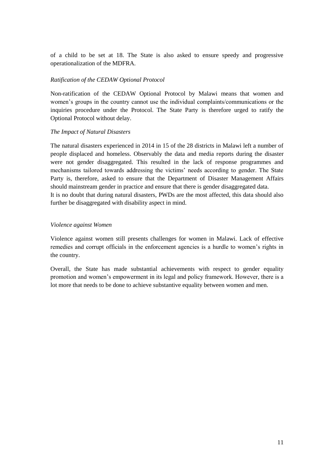of a child to be set at 18. The State is also asked to ensure speedy and progressive operationalization of the MDFRA.

#### *Ratification of the CEDAW Optional Protocol*

Non-ratification of the CEDAW Optional Protocol by Malawi means that women and women"s groups in the country cannot use the individual complaints/communications or the inquiries procedure under the Protocol. The State Party is therefore urged to ratify the Optional Protocol without delay.

#### *The Impact of Natural Disasters*

The natural disasters experienced in 2014 in 15 of the 28 districts in Malawi left a number of people displaced and homeless. Observably the data and media reports during the disaster were not gender disaggregated. This resulted in the lack of response programmes and mechanisms tailored towards addressing the victims" needs according to gender. The State Party is, therefore, asked to ensure that the Department of Disaster Management Affairs should mainstream gender in practice and ensure that there is gender disaggregated data. It is no doubt that during natural disasters, PWDs are the most affected, this data should also further be disaggregated with disability aspect in mind.

#### *Violence against Women*

Violence against women still presents challenges for women in Malawi. Lack of effective remedies and corrupt officials in the enforcement agencies is a hurdle to women"s rights in the country.

Overall, the State has made substantial achievements with respect to gender equality promotion and women"s empowerment in its legal and policy framework. However, there is a lot more that needs to be done to achieve substantive equality between women and men.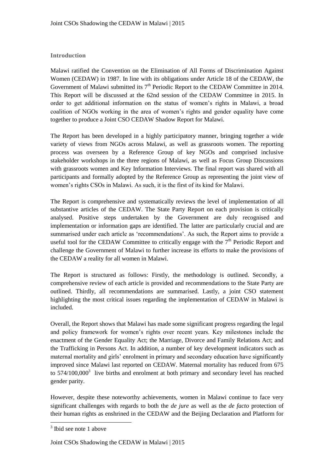## **Introduction**

Malawi ratified the Convention on the Elimination of All Forms of Discrimination Against Women (CEDAW) in 1987. In line with its obligations under Article 18 of the CEDAW, the Government of Malawi submitted its  $7<sup>th</sup>$  Periodic Report to the CEDAW Committee in 2014. This Report will be discussed at the 62nd session of the CEDAW Committee in 2015. In order to get additional information on the status of women"s rights in Malawi, a broad coalition of NGOs working in the area of women"s rights and gender equality have come together to produce a Joint CSO CEDAW Shadow Report for Malawi.

The Report has been developed in a highly participatory manner, bringing together a wide variety of views from NGOs across Malawi, as well as grassroots women. The reporting process was overseen by a Reference Group of key NGOs and comprised inclusive stakeholder workshops in the three regions of Malawi, as well as Focus Group Discussions with grassroots women and Key Information Interviews. The final report was shared with all participants and formally adopted by the Reference Group as representing the joint view of women"s rights CSOs in Malawi. As such, it is the first of its kind for Malawi.

The Report is comprehensive and systematically reviews the level of implementation of all substantive articles of the CEDAW. The State Party Report on each provision is critically analysed. Positive steps undertaken by the Government are duly recognised and implementation or information gaps are identified. The latter are particularly crucial and are summarised under each article as "recommendations". As such, the Report aims to provide a useful tool for the CEDAW Committee to critically engage with the  $7<sup>th</sup>$  Periodic Report and challenge the Government of Malawi to further increase its efforts to make the provisions of the CEDAW a reality for all women in Malawi.

The Report is structured as follows: Firstly, the methodology is outlined. Secondly, a comprehensive review of each article is provided and recommendations to the State Party are outlined. Thirdly, all recommendations are summarised. Lastly, a joint CSO statement highlighting the most critical issues regarding the implementation of CEDAW in Malawi is included.

Overall, the Report shows that Malawi has made some significant progress regarding the legal and policy framework for women"s rights over recent years. Key milestones include the enactment of the Gender Equality Act; the Marriage, Divorce and Family Relations Act; and the Trafficking in Persons Act. In addition, a number of key development indicators such as maternal mortality and girls" enrolment in primary and secondary education have significantly improved since Malawi last reported on CEDAW. Maternal mortality has reduced from 675 to  $574/100,000<sup>3</sup>$  live births and enrolment at both primary and secondary level has reached gender parity.

However, despite these noteworthy achievements, women in Malawi continue to face very significant challenges with regards to both the *de jure* as well as the *de facto* protection of their human rights as enshrined in the CEDAW and the Beijing Declaration and Platform for

 3 Ibid see note 1 above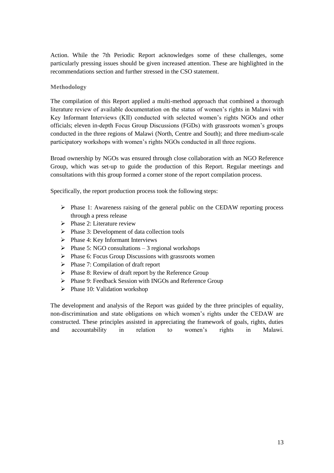Action. While the 7th Periodic Report acknowledges some of these challenges, some particularly pressing issues should be given increased attention. These are highlighted in the recommendations section and further stressed in the CSO statement.

## **Methodology**

The compilation of this Report applied a multi-method approach that combined a thorough literature review of available documentation on the status of women"s rights in Malawi with Key Informant Interviews (KII) conducted with selected women"s rights NGOs and other officials; eleven in-depth Focus Group Discussions (FGDs) with grassroots women"s groups conducted in the three regions of Malawi (North, Centre and South); and three medium-scale participatory workshops with women"s rights NGOs conducted in all three regions.

Broad ownership by NGOs was ensured through close collaboration with an NGO Reference Group, which was set-up to guide the production of this Report. Regular meetings and consultations with this group formed a corner stone of the report compilation process.

Specifically, the report production process took the following steps:

- $\triangleright$  Phase 1: Awareness raising of the general public on the CEDAW reporting process through a press release
- $\triangleright$  Phase 2: Literature review
- $\triangleright$  Phase 3: Development of data collection tools
- $\triangleright$  Phase 4: Key Informant Interviews
- $\triangleright$  Phase 5: NGO consultations 3 regional workshops
- $\triangleright$  Phase 6: Focus Group Discussions with grassroots women
- $\triangleright$  Phase 7: Compilation of draft report
- $\triangleright$  Phase 8: Review of draft report by the Reference Group
- $\triangleright$  Phase 9: Feedback Session with INGOs and Reference Group
- $\triangleright$  Phase 10: Validation workshop

The development and analysis of the Report was guided by the three principles of equality, non-discrimination and state obligations on which women"s rights under the CEDAW are constructed. These principles assisted in appreciating the framework of goals, rights, duties and accountability in relation to women"s rights in Malawi.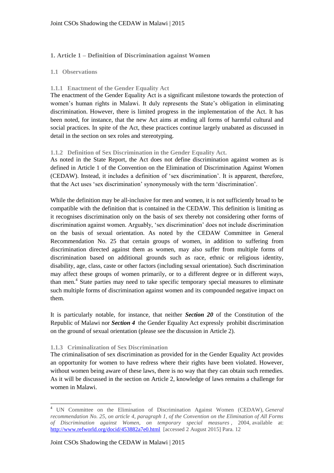## **1. Article 1 – Definition of Discrimination against Women**

#### **1.1 Observations**

## **1.1.1 Enactment of the Gender Equality Act**

The enactment of the Gender Equality Act is a significant milestone towards the protection of women's human rights in Malawi. It duly represents the State's obligation in eliminating discrimination. However, there is limited progress in the implementation of the Act. It has been noted, for instance, that the new Act aims at ending all forms of harmful cultural and social practices. In spite of the Act, these practices continue largely unabated as discussed in detail in the section on sex roles and stereotyping.

#### **1.1.2 Definition of Sex Discrimination in the Gender Equality Act.**

As noted in the State Report, the Act does not define discrimination against women as is defined in Article 1 of the Convention on the Elimination of Discrimination Against Women (CEDAW). Instead, it includes a definition of "sex discrimination". It is apparent, therefore, that the Act uses "sex discrimination" synonymously with the term "discrimination".

While the definition may be all-inclusive for men and women, it is not sufficiently broad to be compatible with the definition that is contained in the CEDAW. This definition is limiting as it recognises discrimination only on the basis of sex thereby not considering other forms of discrimination against women. Arguably, "sex discrimination" does not include discrimination on the basis of sexual orientation. As noted by the CEDAW Committee in General Recommendation No. 25 that certain groups of women, in addition to suffering from discrimination directed against them as women, may also suffer from multiple forms of discrimination based on additional grounds such as race, ethnic or religious identity, disability, age, class, caste or other factors (including sexual orientation). Such discrimination may affect these groups of women primarily, or to a different degree or in different ways, than men.<sup>4</sup> State parties may need to take specific temporary special measures to eliminate such multiple forms of discrimination against women and its compounded negative impact on them.

It is particularly notable, for instance, that neither *Section 20* of the Constitution of the Republic of Malawi nor *Section 4* the Gender Equality Act expressly prohibit discrimination on the ground of sexual orientation (please see the discussion in Article 2).

#### **1.1.3 Criminalization of Sex Discrimination**

 $\overline{a}$ 

The criminalisation of sex discrimination as provided for in the Gender Equality Act provides an opportunity for women to have redress where their rights have been violated. However, without women being aware of these laws, there is no way that they can obtain such remedies. As it will be discussed in the section on Article 2, knowledge of laws remains a challenge for women in Malawi.

<sup>4</sup> UN Committee on the Elimination of Discrimination Against Women (CEDAW), *General recommendation No. 25, on article 4, paragraph 1, of the Convention on the Elimination of All Forms of Discrimination against Women, on temporary special measures* , 2004, available at: <http://www.refworld.org/docid/453882a7e0.html> [accessed 2 August 2015] Para. 12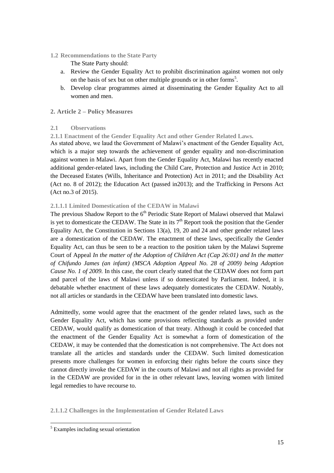**1.2 Recommendations to the State Party**

The State Party should:

- a. Review the Gender Equality Act to prohibit discrimination against women not only on the basis of sex but on other multiple grounds or in other forms<sup>5</sup>.
- b. Develop clear programmes aimed at disseminating the Gender Equality Act to all women and men.

## **2. Article 2 – Policy Measures**

## **2.1 Observations**

**2.1.1 Enactment of the Gender Equality Act and other Gender Related Laws.**

As stated above, we laud the Government of Malawi"s enactment of the Gender Equality Act, which is a major step towards the achievement of gender equality and non-discrimination against women in Malawi. Apart from the Gender Equality Act, Malawi has recently enacted additional gender-related laws, including the Child Care, Protection and Justice Act in 2010; the Deceased Estates (Wills, Inheritance and Protection) Act in 2011; and the Disability Act (Act no. 8 of 2012); the Education Act (passed in2013); and the Trafficking in Persons Act (Act no.3 of 2015).

## **2.1.1.1 Limited Domestication of the CEDAW in Malawi**

The previous Shadow Report to the  $6<sup>th</sup>$  Periodic State Report of Malawi observed that Malawi is yet to domesticate the CEDAW. The State in its  $7<sup>th</sup>$  Report took the position that the Gender Equality Act, the Constitution in Sections 13(a), 19, 20 and 24 and other gender related laws are a domestication of the CEDAW. The enactment of these laws, specifically the Gender Equality Act, can thus be seen to be a reaction to the position taken by the Malawi Supreme Court of Appeal *In the matter of the Adoption of Children Act (Cap 26:01) and In the matter of Chifundo James (an infant) (MSCA Adoption Appeal No. 28 of 2009) being Adoption Cause No. 1 of 2009.* In this case, the court clearly stated that the CEDAW does not form part and parcel of the laws of Malawi unless if so domesticated by Parliament. Indeed, it is debatable whether enactment of these laws adequately domesticates the CEDAW. Notably, not all articles or standards in the CEDAW have been translated into domestic laws.

Admittedly, some would agree that the enactment of the gender related laws, such as the Gender Equality Act, which has some provisions reflecting standards as provided under CEDAW, would qualify as domestication of that treaty. Although it could be conceded that the enactment of the Gender Equality Act is somewhat a form of domestication of the CEDAW, it may be contended that the domestication is not comprehensive. The Act does not translate all the articles and standards under the CEDAW. Such limited domestication presents more challenges for women in enforcing their rights before the courts since they cannot directly invoke the CEDAW in the courts of Malawi and not all rights as provided for in the CEDAW are provided for in the in other relevant laws, leaving women with limited legal remedies to have recourse to.

**2.1.1.2 Challenges in the Implementation of Gender Related Laws**

<sup>&</sup>lt;sup>5</sup> Examples including sexual orientation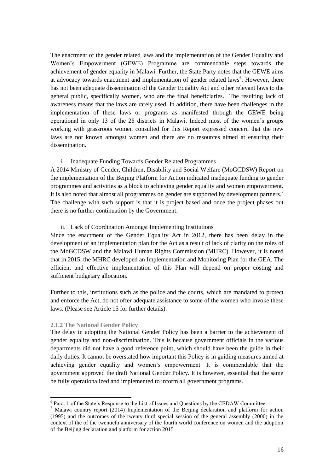The enactment of the gender related laws and the implementation of the Gender Equality and Women"s Empowerment (GEWE) Programme are commendable steps towards the achievement of gender equality in Malawi. Further, the State Party notes that the GEWE aims at advocacy towards enactment and implementation of gender related laws<sup>6</sup>. However, there has not been adequate dissemination of the Gender Equality Act and other relevant laws to the general public, specifically women, who are the final beneficiaries. The resulting lack of awareness means that the laws are rarely used. In addition, there have been challenges in the implementation of these laws or programs as manifested through the GEWE being operational in only 13 of the 28 districts in Malawi. Indeed most of the women"s groups working with grassroots women consulted for this Report expressed concern that the new laws are not known amongst women and there are no resources aimed at ensuring their dissemination.

#### i. Inadequate Funding Towards Gender Related Programmes

A 2014 Ministry of Gender, Children, Disability and Social Welfare (MoGCDSW) Report on the implementation of the Beijing Platform for Action indicated inadequate funding to gender programmes and activities as a block to achieving gender equality and women empowerment. It is also noted that almost all programmes on gender are supported by development partners.<sup>7</sup> The challenge with such support is that it is project based and once the project phases out there is no further continuation by the Government.

#### ii. Lack of Coordination Amongst Implementing Institutions

Since the enactment of the Gender Equality Act in 2012, there has been delay in the development of an implementation plan for the Act as a result of lack of clarity on the roles of the MoGCDSW and the Malawi Human Rights Commission (MHRC). However, it is noted that in 2015, the MHRC developed an Implementation and Monitoring Plan for the GEA. The efficient and effective implementation of this Plan will depend on proper costing and sufficient budgetary allocation.

Further to this, institutions such as the police and the courts, which are mandated to protect and enforce the Act, do not offer adequate assistance to some of the women who invoke these laws. (Please see Article 15 for further details).

#### **2.1.2 The National Gender Policy**

The delay in adopting the National Gender Policy has been a barrier to the achievement of gender equality and non-discrimination. This is because government officials in the various departments did not have a good reference point, which should have been the guide in their daily duties. It cannot be overstated how important this Policy is in guiding measures aimed at achieving gender equality and women"s empowerment. It is commendable that the government approved the draft National Gender Policy. It is however, essential that the same be fully operationalized and implemented to inform all government programs.

<sup>&</sup>lt;sup>6</sup> Para. 1 of the State's Response to the List of Issues and Questions by the CEDAW Committee.

<sup>7</sup> Malawi country report (2014) Implementation of the Beijing declaration and platform for action (1995) and the outcomes of the twenty third special session of the general assembly (2000) in the context of the of the twentieth anniversary of the fourth world conference on women and the adoption of the Beijing declaration and platform for action 2015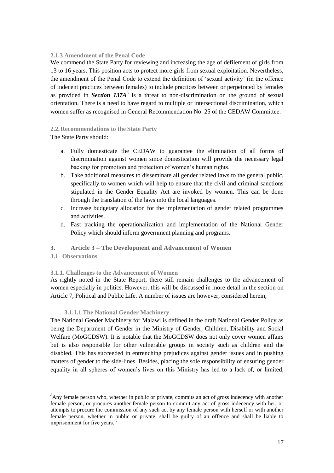## **2.1.3 Amendment of the Penal Code**

We commend the State Party for reviewing and increasing the age of defilement of girls from 13 to 16 years. This position acts to protect more girls from sexual exploitation. Nevertheless, the amendment of the Penal Code to extend the definition of "sexual activity" (in the offence of indecent practices between females) to include practices between or perpetrated by females as provided in *Section 137A*<sup>8</sup> is a threat to non-discrimination on the ground of sexual orientation. There is a need to have regard to multiple or intersectional discrimination, which women suffer as recognised in General Recommendation No. 25 of the CEDAW Committee.

## **2.2.Recommendations to the State Party**

The State Party should:

- a. Fully domesticate the CEDAW to guarantee the elimination of all forms of discrimination against women since domestication will provide the necessary legal backing for promotion and protection of women"s human rights.
- b. Take additional measures to disseminate all gender related laws to the general public, specifically to women which will help to ensure that the civil and criminal sanctions stipulated in the Gender Equality Act are invoked by women. This can be done through the translation of the laws into the local languages.
- c. Increase budgetary allocation for the implementation of gender related programmes and activities.
- d. Fast tracking the operationalization and implementation of the National Gender Policy which should inform government planning and programs.
- **3. Article 3 – The Development and Advancement of Women**
- **3.1 Observations**

#### **3.1.1. Challenges to the Advancement of Women**

As rightly noted in the State Report, there still remain challenges to the advancement of women especially in politics. However, this will be discussed in more detail in the section on Article 7, Political and Public Life. A number of issues are however, considered herein;

#### **3.1.1.1 The National Gender Machinery**

The National Gender Machinery for Malawi is defined in the draft National Gender Policy as being the Department of Gender in the Ministry of Gender, Children, Disability and Social Welfare (MoGCDSW). It is notable that the MoGCDSW does not only cover women affairs but is also responsible for other vulnerable groups in society such as children and the disabled. This has succeeded in entrenching prejudices against gender issues and in pushing matters of gender to the side-lines. Besides, placing the sole responsibility of ensuring gender equality in all spheres of women"s lives on this Ministry has led to a lack of, or limited,

*<sup>8</sup>*Any female person who, whether in public or private, commits an act of gross indecency with another female person, or procures another female person to commit any act of gross indecency with her, or attempts to procure the commission of any such act by any female person with herself or with another female person, whether in public or private, shall be guilty of an offence and shall be liable to imprisonment for five years.'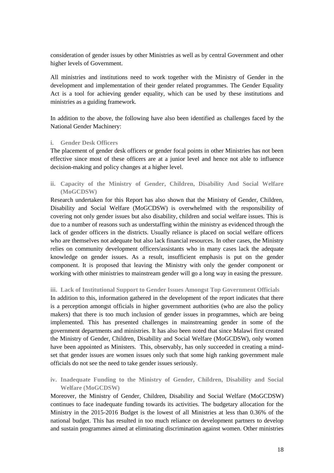consideration of gender issues by other Ministries as well as by central Government and other higher levels of Government.

All ministries and institutions need to work together with the Ministry of Gender in the development and implementation of their gender related programmes. The Gender Equality Act is a tool for achieving gender equality, which can be used by these institutions and ministries as a guiding framework.

In addition to the above, the following have also been identified as challenges faced by the National Gender Machinery:

#### **i. Gender Desk Officers**

The placement of gender desk officers or gender focal points in other Ministries has not been effective since most of these officers are at a junior level and hence not able to influence decision-making and policy changes at a higher level.

**ii. Capacity of the Ministry of Gender, Children, Disability And Social Welfare (MoGCDSW)** 

Research undertaken for this Report has also shown that the Ministry of Gender, Children, Disability and Social Welfare (MoGCDSW) is overwhelmed with the responsibility of covering not only gender issues but also disability, children and social welfare issues. This is due to a number of reasons such as understaffing within the ministry as evidenced through the lack of gender officers in the districts. Usually reliance is placed on social welfare officers who are themselves not adequate but also lack financial resources. In other cases, the Ministry relies on community development officers/assistants who in many cases lack the adequate knowledge on gender issues. As a result, insufficient emphasis is put on the gender component. It is proposed that leaving the Ministry with only the gender component or working with other ministries to mainstream gender will go a long way in easing the pressure.

#### **iii. Lack of Institutional Support to Gender Issues Amongst Top Government Officials**

In addition to this, information gathered in the development of the report indicates that there is a perception amongst officials in higher government authorities (who are also the policy makers) that there is too much inclusion of gender issues in programmes, which are being implemented. This has presented challenges in mainstreaming gender in some of the government departments and ministries. It has also been noted that since Malawi first created the Ministry of Gender, Children, Disability and Social Welfare (MoGCDSW), only women have been appointed as Ministers. This, observably, has only succeeded in creating a mindset that gender issues are women issues only such that some high ranking government male officials do not see the need to take gender issues seriously.

**iv. Inadequate Funding to the Ministry of Gender, Children, Disability and Social Welfare (MoGCDSW)**

Moreover, the Ministry of Gender, Children, Disability and Social Welfare (MoGCDSW) continues to face inadequate funding towards its activities. The budgetary allocation for the Ministry in the 2015-2016 Budget is the lowest of all Ministries at less than 0.36% of the national budget. This has resulted in too much reliance on development partners to develop and sustain programmes aimed at eliminating discrimination against women. Other ministries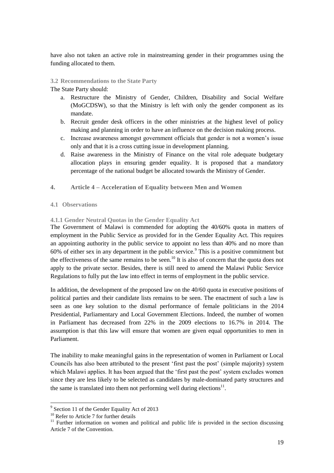have also not taken an active role in mainstreaming gender in their programmes using the funding allocated to them.

**3.2 Recommendations to the State Party**

The State Party should:

- a. Restructure the Ministry of Gender, Children, Disability and Social Welfare (MoGCDSW), so that the Ministry is left with only the gender component as its mandate.
- b. Recruit gender desk officers in the other ministries at the highest level of policy making and planning in order to have an influence on the decision making process.
- c. Increase awareness amongst government officials that gender is not a women"s issue only and that it is a cross cutting issue in development planning.
- d. Raise awareness in the Ministry of Finance on the vital role adequate budgetary allocation plays in ensuring gender equality. It is proposed that a mandatory percentage of the national budget be allocated towards the Ministry of Gender.
- **4. Article 4 – Acceleration of Equality between Men and Women**
- **4.1 Observations**

## **4.1.1 Gender Neutral Quotas in the Gender Equality Act**

The Government of Malawi is commended for adopting the 40/60% quota in matters of employment in the Public Service as provided for in the Gender Equality Act. This requires an appointing authority in the public service to appoint no less than 40% and no more than 60% of either sex in any department in the public service.<sup>9</sup> This is a positive commitment but the effectiveness of the same remains to be seen.<sup>10</sup> It is also of concern that the quota does not apply to the private sector. Besides, there is still need to amend the Malawi Public Service Regulations to fully put the law into effect in terms of employment in the public service.

In addition, the development of the proposed law on the 40/60 quota in executive positions of political parties and their candidate lists remains to be seen. The enactment of such a law is seen as one key solution to the dismal performance of female politicians in the 2014 Presidential, Parliamentary and Local Government Elections. Indeed, the number of women in Parliament has decreased from 22% in the 2009 elections to 16.7% in 2014. The assumption is that this law will ensure that women are given equal opportunities to men in Parliament.

The inability to make meaningful gains in the representation of women in Parliament or Local Councils has also been attributed to the present "first past the post" (simple majority) system which Malawi applies. It has been argued that the 'first past the post' system excludes women since they are less likely to be selected as candidates by male-dominated party structures and the same is translated into them not performing well during elections $11$ .

<sup>&</sup>lt;sup>9</sup> Section 11 of the Gender Equality Act of 2013

<sup>&</sup>lt;sup>10</sup> Refer to Article 7 for further details

 $11$  Further information on women and political and public life is provided in the section discussing Article 7 of the Convention.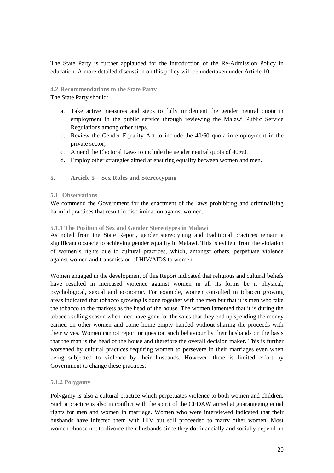The State Party is further applauded for the introduction of the Re-Admission Policy in education. A more detailed discussion on this policy will be undertaken under Article 10.

**4.2 Recommendations to the State Party**

The State Party should:

- a. Take active measures and steps to fully implement the gender neutral quota in employment in the public service through reviewing the Malawi Public Service Regulations among other steps.
- b. Review the Gender Equality Act to include the 40/60 quota in employment in the private sector;
- c. Amend the Electoral Laws to include the gender neutral quota of 40:60.
- d. Employ other strategies aimed at ensuring equality between women and men.

## **5. Article 5 – Sex Roles and Stereotyping**

#### **5.1 Observations**

We commend the Government for the enactment of the laws prohibiting and criminalising harmful practices that result in discrimination against women.

## **5.1.1 The Position of Sex and Gender Stereotypes in Malawi**

As noted from the State Report, gender stereotyping and traditional practices remain a significant obstacle to achieving gender equality in Malawi. This is evident from the violation of women"s rights due to cultural practices, which, amongst others, perpetuate violence against women and transmission of HIV/AIDS to women.

Women engaged in the development of this Report indicated that religious and cultural beliefs have resulted in increased violence against women in all its forms be it physical, psychological, sexual and economic. For example, women consulted in tobacco growing areas indicated that tobacco growing is done together with the men but that it is men who take the tobacco to the markets as the head of the house. The women lamented that it is during the tobacco selling season when men have gone for the sales that they end up spending the money earned on other women and come home empty handed without sharing the proceeds with their wives. Women cannot report or question such behaviour by their husbands on the basis that the man is the head of the house and therefore the overall decision maker. This is further worsened by cultural practices requiring women to persevere in their marriages even when being subjected to violence by their husbands. However, there is limited effort by Government to change these practices.

## **5.1.2 Polygamy**

Polygamy is also a cultural practice which perpetuates violence to both women and children. Such a practice is also in conflict with the spirit of the CEDAW aimed at guaranteeing equal rights for men and women in marriage. Women who were interviewed indicated that their husbands have infected them with HIV but still proceeded to marry other women. Most women choose not to divorce their husbands since they do financially and socially depend on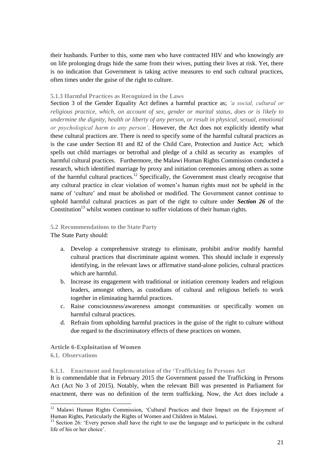their husbands. Further to this, some men who have contracted HIV and who knowingly are on life prolonging drugs hide the same from their wives, putting their lives at risk. Yet, there is no indication that Government is taking active measures to end such cultural practices, often times under the guise of the right to culture.

#### **5.1.3 Harmful Practices as Recognized in the Laws**

Section 3 of the Gender Equality Act defines a harmful practice as; *'a social, cultural or religious practice, which, on account of sex, gender or marital status, does or is likely to undermine the dignity, health or liberty of any person, or result in physical, sexual, emotional or psychological harm to any person'*. However, the Act does not explicitly identify what these cultural practices are. There is need to specify some of the harmful cultural practices as is the case under Section 81 and 82 of the Child Care, Protection and Justice Act; which spells out child marriages or betrothal and pledge of a child as security as examples of harmful cultural practices. Furthermore, the Malawi Human Rights Commission conducted a research, which identified marriage by proxy and initiation ceremonies among others as some of the harmful cultural practices.<sup>12</sup> Specifically, the Government must clearly recognise that any cultural practice in clear violation of women"s human rights must not be upheld in the name of "culture" and must be abolished or modified. The Government cannot continue to uphold harmful cultural practices as part of the right to culture under *Section 26* of the Constitution<sup>13</sup> whilst women continue to suffer violations of their human rights.

## **5.2 Recommendations to the State Party**

The State Party should:

- a. Develop a comprehensive strategy to eliminate, prohibit and/or modify harmful cultural practices that discriminate against women. This should include it expressly identifying, in the relevant laws or affirmative stand-alone policies, cultural practices which are harmful.
- b. Increase its engagement with traditional or initiation ceremony leaders and religious leaders, amongst others, as custodians of cultural and religious beliefs to work together in eliminating harmful practices.
- c. Raise consciousness/awareness amongst communities or specifically women on harmful cultural practices.
- d. Refrain from upholding harmful practices in the guise of the right to culture without due regard to the discriminatory effects of these practices on women.

#### **Article 6-Exploitation of Women**

**6.1. Observations**

 $\overline{a}$ 

#### **6.1.1. Enactment and Implementation of the 'Trafficking In Persons Act**

It is commendable that in February 2015 the Government passed the Trafficking in Persons Act (Act No 3 of 2015). Notably, when the relevant Bill was presented in Parliament for enactment, there was no definition of the term trafficking. Now, the Act does include a

<sup>&</sup>lt;sup>12</sup> Malawi Human Rights Commission, 'Cultural Practices and their Impact on the Enjoyment of Human Rights, Particularly the Rights of Women and Children in Malawi.

<sup>&</sup>lt;sup>13</sup> Section 26: 'Every person shall have the right to use the language and to participate in the cultural life of his or her choice'.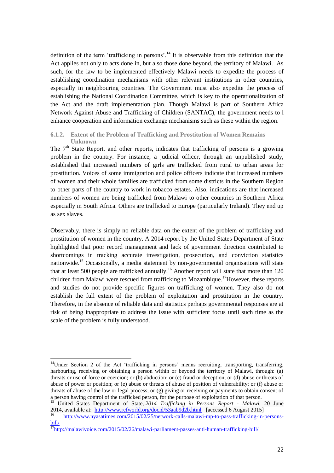definition of the term 'trafficking in persons'.<sup>14</sup> It is observable from this definition that the Act applies not only to acts done in, but also those done beyond, the territory of Malawi. As such, for the law to be implemented effectively Malawi needs to expedite the process of establishing coordination mechanisms with other relevant institutions in other countries, especially in neighbouring countries. The Government must also expedite the process of establishing the National Coordination Committee, which is key to the operationalization of the Act and the draft implementation plan. Though Malawi is part of Southern Africa Network Against Abuse and Trafficking of Children (SANTAC), the government needs to l enhance cooperation and information exchange mechanisms such as these within the region.

#### **6.1.2. Extent of the Problem of Trafficking and Prostitution of Women Remains Unknown**

The  $7<sup>th</sup>$  State Report, and other reports, indicates that trafficking of persons is a growing problem in the country. For instance, a judicial officer, through an unpublished study, established that increased numbers of girls are trafficked from rural to urban areas for prostitution. Voices of some immigration and police officers indicate that increased numbers of women and their whole families are trafficked from some districts in the Southern Region to other parts of the country to work in tobacco estates. Also, indications are that increased numbers of women are being trafficked from Malawi to other countries in Southern Africa especially in South Africa. Others are trafficked to Europe (particularly Ireland). They end up as sex slaves.

Observably, there is simply no reliable data on the extent of the problem of trafficking and prostitution of women in the country. A 2014 report by the United States Department of State highlighted that poor record management and lack of government direction contributed to shortcomings in tracking accurate investigation, prosecution, and conviction statistics nationwide.<sup>15</sup> Occasionally, a media statement by non-governmental organisations will state that at least 500 people are trafficked annually.<sup>16</sup> Another report will state that more than 120 children from Malawi were rescued from trafficking to Mozambique.<sup>17</sup>However, these reports and studies do not provide specific figures on trafficking of women. They also do not establish the full extent of the problem of exploitation and prostitution in the country. Therefore, in the absence of reliable data and statistics perhaps governmental responses are at risk of being inappropriate to address the issue with sufficient focus until such time as the scale of the problem is fully understood.

<sup>&</sup>lt;sup>14</sup>Under Section 2 of the Act 'trafficking in persons' means recruiting, transporting, transferring, harbouring, receiving or obtaining a person within or beyond the territory of Malawi, through: (a) threats or use of force or coercion; or (b) abduction; or (c) fraud or deception; or (d) abuse or threats of abuse of power or position; or (e) abuse or threats of abuse of position of vulnerability; or (f) abuse or threats of abuse of the law or legal process; or (g) giving or receiving or payments to obtain consent of a person having control of the trafficked person, for the purpose of exploitation of that person.

<sup>15</sup> United States Department of State, *2014 Trafficking in Persons Report - Malawi*, 20 June 2014, available at: <http://www.refworld.org/docid/53aab9d2b.html> [accessed 6 August 2015]

<sup>16</sup> [http://www.nyasatimes.com/2015/02/25/network-calls-malawi-mp-to-pass-trafficking-in-persons](http://www.nyasatimes.com/2015/02/25/network-calls-malawi-mp-to-pass-trafficking-in-persons-bill/)[bill/](http://www.nyasatimes.com/2015/02/25/network-calls-malawi-mp-to-pass-trafficking-in-persons-bill/)

 $\frac{17}{17}$ <http://malawivoice.com/2015/02/26/malawi-parliament-passes-anti-human-trafficking-bill/>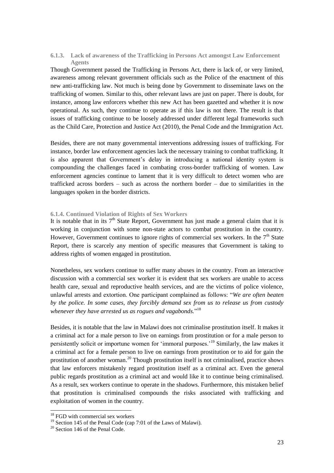#### **6.1.3. Lack of awareness of the Trafficking in Persons Act amongst Law Enforcement Agents**

Though Government passed the Trafficking in Persons Act, there is lack of, or very limited, awareness among relevant government officials such as the Police of the enactment of this new anti-trafficking law. Not much is being done by Government to disseminate laws on the trafficking of women. Similar to this, other relevant laws are just on paper. There is doubt, for instance, among law enforcers whether this new Act has been gazetted and whether it is now operational. As such, they continue to operate as if this law is not there. The result is that issues of trafficking continue to be loosely addressed under different legal frameworks such as the Child Care, Protection and Justice Act (2010), the Penal Code and the Immigration Act.

Besides, there are not many governmental interventions addressing issues of trafficking. For instance, border law enforcement agencies lack the necessary training to combat trafficking. It is also apparent that Government's delay in introducing a national identity system is compounding the challenges faced in combating cross-border trafficking of women. Law enforcement agencies continue to lament that it is very difficult to detect women who are trafficked across borders – such as across the northern border – due to similarities in the languages spoken in the border districts.

## **6.1.4. Continued Violation of Rights of Sex Workers**

It is notable that in its  $7<sup>th</sup>$  State Report, Government has just made a general claim that it is working in conjunction with some non-state actors to combat prostitution in the country. However, Government continues to ignore rights of commercial sex workers. In the  $7<sup>th</sup>$  State Report, there is scarcely any mention of specific measures that Government is taking to address rights of women engaged in prostitution.

Nonetheless, sex workers continue to suffer many abuses in the country. From an interactive discussion with a commercial sex worker it is evident that sex workers are unable to access health care, sexual and reproductive health services, and are the victims of police violence, unlawful arrests and extortion. One participant complained as follows: "*We are often beaten by the police. In some cases, they forcibly demand sex from us to release us from custody whenever they have arrested us as rogues and vagabonds.*" 18

Besides, it is notable that the law in Malawi does not criminalise prostitution itself. It makes it a criminal act for a male person to live on earnings from prostitution or for a male person to persistently solicit or importune women for "immoral purposes."<sup>19</sup> Similarly, the law makes it a criminal act for a female person to live on earnings from prostitution or to aid for gain the prostitution of another woman.<sup>20</sup> Though prostitution itself is not criminalised, practice shows that law enforcers mistakenly regard prostitution itself as a criminal act. Even the general public regards prostitution as a criminal act and would like it to continue being criminalised. As a result, sex workers continue to operate in the shadows. Furthermore, this mistaken belief that prostitution is criminalised compounds the risks associated with trafficking and exploitation of women in the country.

<sup>&</sup>lt;sup>18</sup> FGD with commercial sex workers

<sup>&</sup>lt;sup>19</sup> Section 145 of the Penal Code (cap 7:01 of the Laws of Malawi).

<sup>&</sup>lt;sup>20</sup> Section 146 of the Penal Code.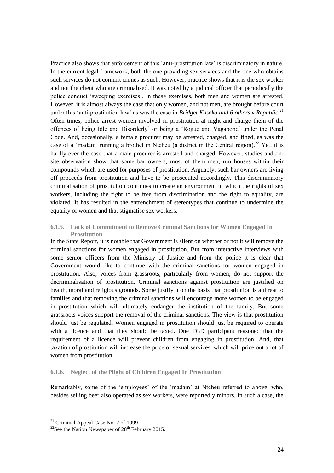Practice also shows that enforcement of this 'anti-prostitution law' is discriminatory in nature. In the current legal framework, both the one providing sex services and the one who obtains such services do not commit crimes as such. However, practice shows that it is the sex worker and not the client who are criminalised. It was noted by a judicial officer that periodically the police conduct "sweeping exercises". In these exercises, both men and women are arrested. However, it is almost always the case that only women, and not men, are brought before court under this 'anti-prostitution law' as was the case in *Bridget Kaseka and 6 others v Republic*.<sup>21</sup> Often times, police arrest women involved in prostitution at night and charge them of the offences of being Idle and Disorderly" or being a "Rogue and Vagabond" under the Penal Code. And, occasionally, a female procurer may be arrested, charged, and fined, as was the case of a 'madam' running a brothel in Ntcheu (a district in the Central region).<sup>22</sup> Yet, it is hardly ever the case that a male procurer is arrested and charged. However, studies and onsite observation show that some bar owners, most of them men, run houses within their compounds which are used for purposes of prostitution. Arguably, such bar owners are living off proceeds from prostitution and have to be prosecuted accordingly. This discriminatory criminalisation of prostitution continues to create an environment in which the rights of sex workers, including the right to be free from discrimination and the right to equality, are violated. It has resulted in the entrenchment of stereotypes that continue to undermine the equality of women and that stigmatise sex workers.

## **6.1.5. Lack of Commitment to Remove Criminal Sanctions for Women Engaged In Prostitution**

In the State Report, it is notable that Government is silent on whether or not it will remove the criminal sanctions for women engaged in prostitution. But from interactive interviews with some senior officers from the Ministry of Justice and from the police it is clear that Government would like to continue with the criminal sanctions for women engaged in prostitution. Also, voices from grassroots, particularly from women, do not support the decriminalisation of prostitution. Criminal sanctions against prostitution are justified on health, moral and religious grounds. Some justify it on the basis that prostitution is a threat to families and that removing the criminal sanctions will encourage more women to be engaged in prostitution which will ultimately endanger the institution of the family. But some grassroots voices support the removal of the criminal sanctions. The view is that prostitution should just be regulated. Women engaged in prostitution should just be required to operate with a licence and that they should be taxed. One FGD participant reasoned that the requirement of a licence will prevent children from engaging in prostitution. And, that taxation of prostitution will increase the price of sexual services, which will price out a lot of women from prostitution.

## **6.1.6. Neglect of the Plight of Children Engaged In Prostitution**

Remarkably, some of the "employees" of the "madam" at Ntcheu referred to above, who, besides selling beer also operated as sex workers, were reportedly minors. In such a case, the

<sup>&</sup>lt;sup>21</sup> Criminal Appeal Case No. 2 of 1999

<sup>&</sup>lt;sup>22</sup>See the Nation Newspaper of  $28<sup>th</sup>$  February 2015.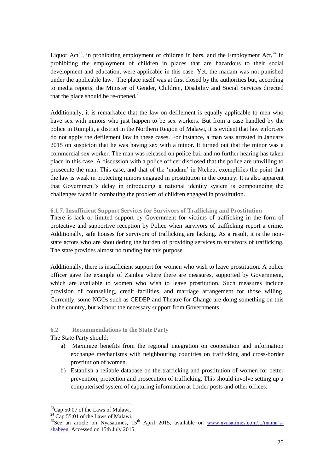Liquor Act<sup>23</sup>, in prohibiting employment of children in bars, and the Employment Act,  $24$  in prohibiting the employment of children in places that are hazardous to their social development and education, were applicable in this case. Yet, the madam was not punished under the applicable law. The place itself was at first closed by the authorities but, according to media reports, the Minister of Gender, Children, Disability and Social Services directed that the place should be re-opened. $^{25}$ 

Additionally, it is remarkable that the law on defilement is equally applicable to men who have sex with minors who just happen to be sex workers. But from a case handled by the police in Rumphi, a district in the Northern Region of Malawi, it is evident that law enforcers do not apply the defilement law in these cases. For instance, a man was arrested in January 2015 on suspicion that he was having sex with a minor. It turned out that the minor was a commercial sex worker. The man was released on police bail and no further hearing has taken place in this case. A discussion with a police officer disclosed that the police are unwilling to prosecute the man. This case, and that of the "madam" in Ntcheu, exemplifies the point that the law is weak in protecting minors engaged in prostitution in the country. It is also apparent that Government"s delay in introducing a national identity system is compounding the challenges faced in combating the problem of children engaged in prostitution.

**6.1.7. Insufficient Support Services for Survivors of Trafficking and Prostitution**

There is lack or limited support by Government for victims of trafficking in the form of protective and supportive reception by Police when survivors of trafficking report a crime. Additionally, safe houses for survivors of trafficking are lacking. As a result, it is the nonstate actors who are shouldering the burden of providing services to survivors of trafficking. The state provides almost no funding for this purpose.

Additionally, there is insufficient support for women who wish to leave prostitution. A police officer gave the example of Zambia where there are measures, supported by Government, which are available to women who wish to leave prostitution. Such measures include provision of counselling, credit facilities, and marriage arrangement for those willing. Currently, some NGOs such as CEDEP and Theatre for Change are doing something on this in the country, but without the necessary support from Governments.

## **6.2 Recommendations to the State Party**

The State Party should:

- a) Maximize benefits from the regional integration on cooperation and information exchange mechanisms with neighbouring countries on trafficking and cross-border prostitution of women.
- b) Establish a reliable database on the trafficking and prostitution of women for better prevention, protection and prosecution of trafficking. This should involve setting up a computerised system of capturing information at border posts and other offices.

<sup>&</sup>lt;sup>23</sup>Cap 50:07 of the Laws of Malawi.

 $24$  Cap 55:01 of the Laws of Malawi.

<sup>&</sup>lt;sup>25</sup>See an article on Nyasatimes,  $15<sup>th</sup>$  April 2015, available on www.nyasatimes.com/.../mama's[shabeen.](http://www.nyasatimes.com/.../mama) Accessed on 15th July 2015.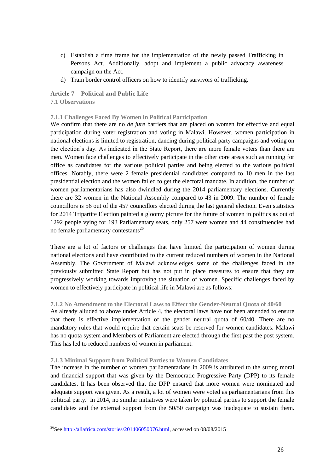- c) Establish a time frame for the implementation of the newly passed Trafficking in Persons Act. Additionally, adopt and implement a public advocacy awareness campaign on the Act.
- d) Train border control officers on how to identify survivors of trafficking.

## **Article 7 – Political and Public Life**

#### **7.1 Observations**

 $\overline{a}$ 

## **7.1.1 Challenges Faced By Women in Political Participation**

We confirm that there are no *de jure* barriers that are placed on women for effective and equal participation during voter registration and voting in Malawi. However, women participation in national elections is limited to registration, dancing during political party campaigns and voting on the election"s day. As indicated in the State Report, there are more female voters than there are men. Women face challenges to effectively participate in the other core areas such as running for office as candidates for the various political parties and being elected to the various political offices. Notably, there were 2 female presidential candidates compared to 10 men in the last presidential election and the women failed to get the electoral mandate. In addition, the number of women parliamentarians has also dwindled during the 2014 parliamentary elections. Currently there are 32 women in the National Assembly compared to 43 in 2009. The number of female councillors is 56 out of the 457 councillors elected during the last general election. Even statistics for 2014 Tripartite Election painted a gloomy picture for the future of women in politics as out of 1292 people vying for 193 Parliamentary seats, only 257 were women and 44 constituencies had no female parliamentary contestants<sup>26</sup>

There are a lot of factors or challenges that have limited the participation of women during national elections and have contributed to the current reduced numbers of women in the National Assembly. The Government of Malawi acknowledges some of the challenges faced in the previously submitted State Report but has not put in place measures to ensure that they are progressively working towards improving the situation of women. Specific challenges faced by women to effectively participate in political life in Malawi are as follows:

## **7.1.2 No Amendment to the Electoral Laws to Effect the Gender-Neutral Quota of 40/60**

As already alluded to above under Article 4, the electoral laws have not been amended to ensure that there is effective implementation of the gender neutral quota of 60/40. There are no mandatory rules that would require that certain seats be reserved for women candidates. Malawi has no quota system and Members of Parliament are elected through the first past the post system. This has led to reduced numbers of women in parliament.

## **7.1.3 Minimal Support from Political Parties to Women Candidates**

The increase in the number of women parliamentarians in 2009 is attributed to the strong moral and financial support that was given by the Democratic Progressive Party (DPP) to its female candidates. It has been observed that the DPP ensured that more women were nominated and adequate support was given. As a result, a lot of women were voted as parliamentarians from this political party. In 2014, no similar initiatives were taken by political parties to support the female candidates and the external support from the 50/50 campaign was inadequate to sustain them.

<sup>&</sup>lt;sup>26</sup>See [http://allafrica.com/stories/201406050076.html,](http://allafrica.com/stories/201406050076.html) accessed on 08/08/2015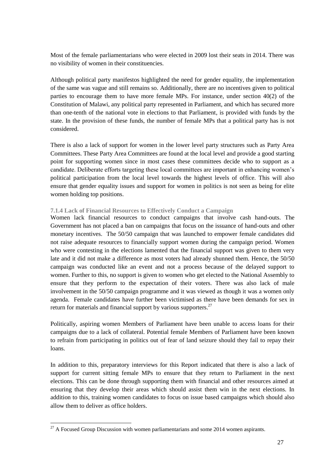Most of the female parliamentarians who were elected in 2009 lost their seats in 2014. There was no visibility of women in their constituencies.

Although political party manifestos highlighted the need for gender equality, the implementation of the same was vague and still remains so. Additionally, there are no incentives given to political parties to encourage them to have more female MPs. For instance, under section 40(2) of the Constitution of Malawi, any political party represented in Parliament, and which has secured more than one-tenth of the national vote in elections to that Parliament, is provided with funds by the state. In the provision of these funds, the number of female MPs that a political party has is not considered.

There is also a lack of support for women in the lower level party structures such as Party Area Committees. These Party Area Committees are found at the local level and provide a good starting point for supporting women since in most cases these committees decide who to support as a candidate. Deliberate efforts targeting these local committees are important in enhancing women"s political participation from the local level towards the highest levels of office. This will also ensure that gender equality issues and support for women in politics is not seen as being for elite women holding top positions.

#### **7.1.4 Lack of Financial Resources to Effectively Conduct a Campaign**

Women lack financial resources to conduct campaigns that involve cash hand-outs. The Government has not placed a ban on campaigns that focus on the issuance of hand-outs and other monetary incentives. The 50/50 campaign that was launched to empower female candidates did not raise adequate resources to financially support women during the campaign period. Women who were contesting in the elections lamented that the financial support was given to them very late and it did not make a difference as most voters had already shunned them. Hence, the 50/50 campaign was conducted like an event and not a process because of the delayed support to women. Further to this, no support is given to women who get elected to the National Assembly to ensure that they perform to the expectation of their voters. There was also lack of male involvement in the 50/50 campaign programme and it was viewed as though it was a women only agenda.Female candidates have further been victimised as there have been demands for sex in return for materials and financial support by various supporters. $27$ 

Politically, aspiring women Members of Parliament have been unable to access loans for their campaigns due to a lack of collateral. Potential female Members of Parliament have been known to refrain from participating in politics out of fear of land seizure should they fail to repay their loans.

In addition to this, preparatory interviews for this Report indicated that there is also a lack of support for current sitting female MPs to ensure that they return to Parliament in the next elections. This can be done through supporting them with financial and other resources aimed at ensuring that they develop their areas which should assist them win in the next elections. In addition to this, training women candidates to focus on issue based campaigns which should also allow them to deliver as office holders.

 $^{27}$  A Focused Group Discussion with women parliamentarians and some 2014 women aspirants.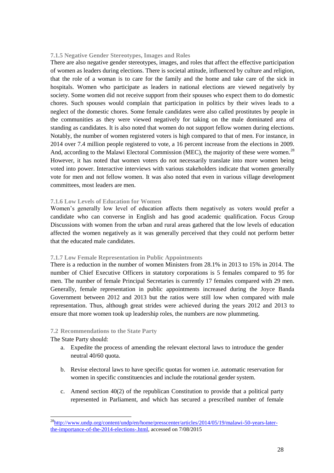#### **7.1.5 Negative Gender Stereotypes, Images and Roles**

There are also negative gender stereotypes, images, and roles that affect the effective participation of women as leaders during elections. There is societal attitude, influenced by culture and religion, that the role of a woman is to care for the family and the home and take care of the sick in hospitals. Women who participate as leaders in national elections are viewed negatively by society. Some women did not receive support from their spouses who expect them to do domestic chores. Such spouses would complain that participation in politics by their wives leads to a neglect of the domestic chores. Some female candidates were also called prostitutes by people in the communities as they were viewed negatively for taking on the male dominated area of standing as candidates. It is also noted that women do not support fellow women during elections. Notably, the number of women registered voters is high compared to that of men. For instance, in 2014 over 7.4 million people registered to vote, a 16 percent increase from the elections in 2009. And, according to the Malawi Electoral Commission (MEC), the majority of these were women.<sup>28</sup> However, it has noted that women voters do not necessarily translate into more women being voted into power. Interactive interviews with various stakeholders indicate that women generally vote for men and not fellow women. It was also noted that even in various village development committees, most leaders are men.

#### **7.1.6 Low Levels of Education for Women**

Women"s generally low level of education affects them negatively as voters would prefer a candidate who can converse in English and has good academic qualification. Focus Group Discussions with women from the urban and rural areas gathered that the low levels of education affected the women negatively as it was generally perceived that they could not perform better that the educated male candidates.

#### **7.1.7 Low Female Representation in Public Appointments**

There is a reduction in the number of women Ministers from 28.1% in 2013 to 15% in 2014. The number of Chief Executive Officers in statutory corporations is 5 females compared to 95 for men. The number of female Principal Secretaries is currently 17 females compared with 29 men. Generally, female representation in public appointments increased during the Joyce Banda Government between 2012 and 2013 but the ratios were still low when compared with male representation. Thus, although great strides were achieved during the years 2012 and 2013 to ensure that more women took up leadership roles, the numbers are now plummeting.

#### **7.2 Recommendations to the State Party**

The State Party should:

- a. Expedite the process of amending the relevant electoral laws to introduce the gender neutral 40/60 quota.
- b. Revise electoral laws to have specific quotas for women i.e. automatic reservation for women in specific constituencies and include the rotational gender system.
- c. Amend section 40(2) of the republican Constitution to provide that a political party represented in Parliament, and which has secured a prescribed number of female

<sup>&</sup>lt;sup>28</sup>[http://www.undp.org/content/undp/en/home/presscenter/articles/2014/05/19/malawi-50-years-later](http://www.undp.org/content/undp/en/home/presscenter/articles/2014/05/19/malawi-50-years-later-the-importance-of-the-2014-elections-.html)[the-importance-of-the-2014-elections-.html,](http://www.undp.org/content/undp/en/home/presscenter/articles/2014/05/19/malawi-50-years-later-the-importance-of-the-2014-elections-.html) accessed on 7/08/2015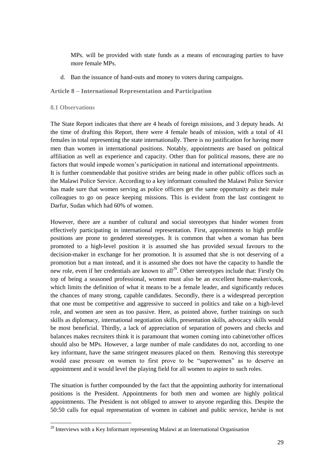MPs. will be provided with state funds as a means of encouraging parties to have more female MPs.

d. Ban the issuance of hand-outs and money to voters during campaigns.

#### **Article 8 – International Representation and Participation**

#### **8.1 Observations**

 $\overline{a}$ 

The State Report indicates that there are 4 heads of foreign missions, and 3 deputy heads. At the time of drafting this Report, there were 4 female heads of mission, with a total of 41 females in total representing the state internationally. There is no justification for having more men than women in international positions. Notably, appointments are based on political affiliation as well as experience and capacity. Other than for political reasons, there are no factors that would impede women's participation in national and international appointments. It is further commendable that positive strides are being made in other public offices such as the Malawi Police Service. According to a key informant consulted the Malawi Police Service has made sure that women serving as police officers get the same opportunity as their male colleagues to go on peace keeping missions. This is evident from the last contingent to Darfur, Sudan which had 60% of women.

However, there are a number of cultural and social stereotypes that hinder women from effectively participating in international representation. First, appointments to high profile positions are prone to gendered stereotypes. It is common that when a woman has been promoted to a high-level position it is assumed she has provided sexual favours to the decision-maker in exchange for her promotion. It is assumed that she is not deserving of a promotion but a man instead, and it is assumed she does not have the capacity to handle the new role, even if her credentials are known to all<sup>29</sup>. Other stereotypes include that: Firstly On top of being a seasoned professional, women must also be an excellent home-maker/cook, which limits the definition of what it means to be a female leader, and significantly reduces the chances of many strong, capable candidates. Secondly, there is a widespread perception that one must be competitive and aggressive to succeed in politics and take on a high-level role, and women are seen as too passive. Here, as pointed above, further trainings on such skills as diplomacy, international negotiation skills, presentation skills, advocacy skills would be most beneficial. Thirdly, a lack of appreciation of separation of powers and checks and balances makes recruiters think it is paramount that women coming into cabinet/other offices should also be MPs. However, a large number of male candidates do not, according to one key informant, have the same stringent measures placed on them. Removing this stereotype would ease pressure on women to first prove to be "superwomen" as to deserve an appointment and it would level the playing field for all women to aspire to such roles.

The situation is further compounded by the fact that the appointing authority for international positions is the President. Appointments for both men and women are highly political appointments. The President is not obliged to answer to anyone regarding this. Despite the 50:50 calls for equal representation of women in cabinet and public service, he/she is not

<sup>&</sup>lt;sup>29</sup> Interviews with a Key Informant representing Malawi at an International Organisation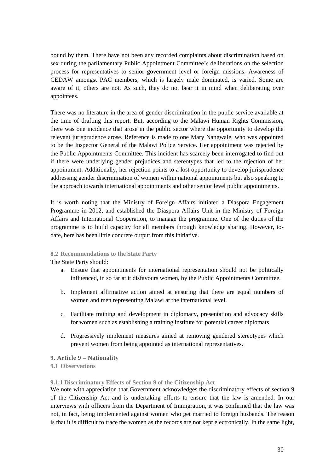bound by them. There have not been any recorded complaints about discrimination based on sex during the parliamentary Public Appointment Committee"s deliberations on the selection process for representatives to senior government level or foreign missions. Awareness of CEDAW amongst PAC members, which is largely male dominated, is varied. Some are aware of it, others are not. As such, they do not bear it in mind when deliberating over appointees.

There was no literature in the area of gender discrimination in the public service available at the time of drafting this report. But, according to the Malawi Human Rights Commission, there was one incidence that arose in the public sector where the opportunity to develop the relevant jurisprudence arose. Reference is made to one Mary Nangwale, who was appointed to be the Inspector General of the Malawi Police Service. Her appointment was rejected by the Public Appointments Committee. This incident has scarcely been interrogated to find out if there were underlying gender prejudices and stereotypes that led to the rejection of her appointment. Additionally, her rejection points to a lost opportunity to develop jurisprudence addressing gender discrimination of women within national appointments but also speaking to the approach towards international appointments and other senior level public appointments.

It is worth noting that the Ministry of Foreign Affairs initiated a Diaspora Engagement Programme in 2012, and established the Diaspora Affairs Unit in the Ministry of Foreign Affairs and International Cooperation, to manage the programme. One of the duties of the programme is to build capacity for all members through knowledge sharing. However, todate, here has been little concrete output from this initiative.

#### **8.2 Recommendations to the State Party**

The State Party should:

- a. Ensure that appointments for international representation should not be politically influenced, in so far at it disfavours women, by the Public Appointments Committee.
- b. Implement affirmative action aimed at ensuring that there are equal numbers of women and men representing Malawi at the international level.
- c. Facilitate training and development in diplomacy, presentation and advocacy skills for women such as establishing a training institute for potential career diplomats
- d. Progressively implement measures aimed at removing gendered stereotypes which prevent women from being appointed as international representatives.

#### **9. Article 9 – Nationality**

#### **9.1 Observations**

**9.1.1 Discriminatory Effects of Section 9 of the Citizenship Act**

We note with appreciation that Government acknowledges the discriminatory effects of section 9 of the Citizenship Act and is undertaking efforts to ensure that the law is amended. In our interviews with officers from the Department of Immigration, it was confirmed that the law was not, in fact, being implemented against women who get married to foreign husbands. The reason is that it is difficult to trace the women as the records are not kept electronically. In the same light,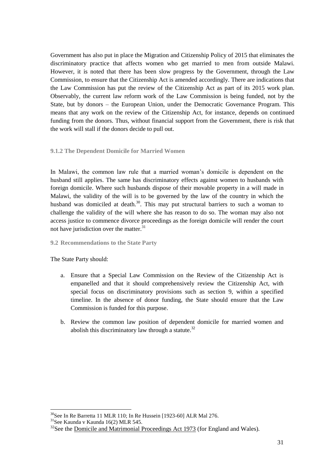Government has also put in place the Migration and Citizenship Policy of 2015 that eliminates the discriminatory practice that affects women who get married to men from outside Malawi. However, it is noted that there has been slow progress by the Government, through the Law Commission, to ensure that the Citizenship Act is amended accordingly. There are indications that the Law Commission has put the review of the Citizenship Act as part of its 2015 work plan. Observably, the current law reform work of the Law Commission is being funded, not by the State, but by donors – the European Union, under the Democratic Governance Program. This means that any work on the review of the Citizenship Act, for instance, depends on continued funding from the donors. Thus, without financial support from the Government, there is risk that the work will stall if the donors decide to pull out.

## **9.1.2 The Dependent Domicile for Married Women**

In Malawi, the common law rule that a married woman's domicile is dependent on the husband still applies. The same has discriminatory effects against women to husbands with foreign domicile. Where such husbands dispose of their movable property in a will made in Malawi, the validity of the will is to be governed by the law of the country in which the husband was domiciled at death.<sup>30</sup>. This may put structural barriers to such a woman to challenge the validity of the will where she has reason to do so. The woman may also not access justice to commence divorce proceedings as the foreign domicile will render the court not have jurisdiction over the matter.<sup>31</sup>

#### **9.2 Recommendations to the State Party**

## The State Party should:

- a. Ensure that a Special Law Commission on the Review of the Citizenship Act is empanelled and that it should comprehensively review the Citizenship Act, with special focus on discriminatory provisions such as section 9, within a specified timeline. In the absence of donor funding, the State should ensure that the Law Commission is funded for this purpose.
- b. Review the common law position of dependent domicile for married women and abolish this discriminatory law through a statute. $32$

 $30$ See In Re Barretta 11 MLR 110; In Re Hussein [1923-60] ALR Mal 276.

 $31$ See Kaunda v Kaunda 16(2) MLR 545.

 $32$ See the [Domicile and Matrimonial Proceedings Act 1973](https://en.wikipedia.org/w/index.php?title=Domicile_and_Matrimonial_Proceedings_Act_1973&action=edit&redlink=1) (for England and Wales).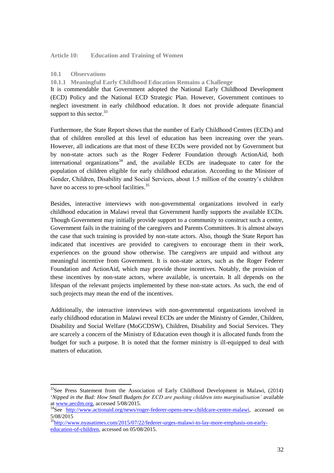**Article 10: Education and Training of Women** 

## **10.1 Observations**

 $\overline{a}$ 

**10.1.1 Meaningful Early Childhood Education Remains a Challenge** 

It is commendable that Government adopted the National Early Childhood Development (ECD) Policy and the National ECD Strategic Plan. However, Government continues to neglect investment in early childhood education. It does not provide adequate financial support to this sector.<sup>33</sup>

Furthermore, the State Report shows that the number of Early Childhood Centres (ECDs) and that of children enrolled at this level of education has been increasing over the years. However, all indications are that most of these ECDs were provided not by Government but by non-state actors such as the Roger Federer Foundation through ActionAid, both international organizations<sup>34</sup> and, the available ECDs are inadequate to cater for the population of children eligible for early childhood education. According to the Minister of Gender, Children, Disability and Social Services, about 1.5 million of the country"s children have no access to pre-school facilities.<sup>35</sup>

Besides, interactive interviews with non-governmental organizations involved in early childhood education in Malawi reveal that Government hardly supports the available ECDs. Though Government may initially provide support to a community to construct such a centre, Government fails in the training of the caregivers and Parents Committees. It is almost always the case that such training is provided by non-state actors. Also, though the State Report has indicated that incentives are provided to caregivers to encourage them in their work, experiences on the ground show otherwise. The caregivers are unpaid and without any meaningful incentive from Government. It is non-state actors, such as the Roger Federer Foundation and ActionAid, which may provide those incentives. Notably, the provision of these incentives by non-state actors, where available, is uncertain. It all depends on the lifespan of the relevant projects implemented by these non-state actors. As such, the end of such projects may mean the end of the incentives.

Additionally, the interactive interviews with non-governmental organizations involved in early childhood education in Malawi reveal ECDs are under the Ministry of Gender, Children, Disability and Social Welfare (MoGCDSW), Children, Disability and Social Services. They are scarcely a concern of the Ministry of Education even though it is allocated funds from the budget for such a purpose. It is noted that the former ministry is ill-equipped to deal with matters of education.

 $33$ See Press Statement from the Association of Early Childhood Development in Malawi, (2014) "*Nipped in the Bud: How Small Budgets for ECD are pushing children into marginalisation'* available a[t www.aecdm.org,](http://www.aecdm.org/) accessed 5/08/2015.

<sup>&</sup>lt;sup>34</sup>See [http://www.actionaid.org/news/roger-federer-opens-new-childcare-centre-malawi,](http://www.actionaid.org/news/roger-federer-opens-new-childcare-centre-malawi) accessed on 5/08/2015

<sup>&</sup>lt;sup>35</sup>http://www.nyasatimes.com/<u>2015/07/22/federer-urges-malawi-to-lay-more-emphasis-on-early-</u> [education-of-children,](http://www.nyasatimes.com/2015/07/22/federer-urges-malawi-to-lay-more-emphasis-on-early-education-of-children) accessed on 05/08/2015.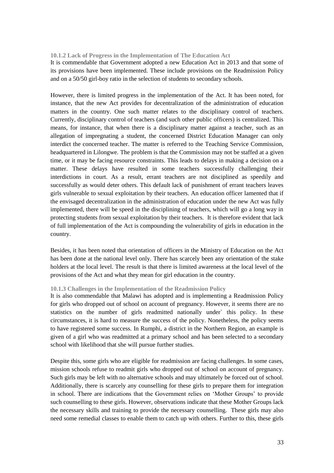#### **10.1.2 Lack of Progress in the Implementation of The Education Act**

It is commendable that Government adopted a new Education Act in 2013 and that some of its provisions have been implemented. These include provisions on the Readmission Policy and on a 50/50 girl-boy ratio in the selection of students to secondary schools.

However, there is limited progress in the implementation of the Act. It has been noted, for instance, that the new Act provides for decentralization of the administration of education matters in the country. One such matter relates to the disciplinary control of teachers. Currently, disciplinary control of teachers (and such other public officers) is centralized. This means, for instance, that when there is a disciplinary matter against a teacher, such as an allegation of impregnating a student, the concerned District Education Manager can only interdict the concerned teacher. The matter is referred to the Teaching Service Commission, headquartered in Lilongwe. The problem is that the Commission may not be staffed at a given time, or it may be facing resource constraints. This leads to delays in making a decision on a matter. These delays have resulted in some teachers successfully challenging their interdictions in court. As a result, errant teachers are not disciplined as speedily and successfully as would deter others. This default lack of punishment of errant teachers leaves girls vulnerable to sexual exploitation by their teachers. An education officer lamented that if the envisaged decentralization in the administration of education under the new Act was fully implemented, there will be speed in the disciplining of teachers, which will go a long way in protecting students from sexual exploitation by their teachers. It is therefore evident that lack of full implementation of the Act is compounding the vulnerability of girls in education in the country.

Besides, it has been noted that orientation of officers in the Ministry of Education on the Act has been done at the national level only. There has scarcely been any orientation of the stake holders at the local level. The result is that there is limited awareness at the local level of the provisions of the Act and what they mean for girl education in the country.

#### **10.1.3 Challenges in the Implementation of the Readmission Policy**

It is also commendable that Malawi has adopted and is implementing a Readmission Policy for girls who dropped out of school on account of pregnancy. However, it seems there are no statistics on the number of girls readmitted nationally under` this policy. In these circumstances, it is hard to measure the success of the policy. Nonetheless, the policy seems to have registered some success. In Rumphi, a district in the Northern Region, an example is given of a girl who was readmitted at a primary school and has been selected to a secondary school with likelihood that she will pursue further studies.

Despite this, some girls who are eligible for readmission are facing challenges. In some cases, mission schools refuse to readmit girls who dropped out of school on account of pregnancy. Such girls may be left with no alternative schools and may ultimately be forced out of school. Additionally, there is scarcely any counselling for these girls to prepare them for integration in school. There are indications that the Government relies on "Mother Groups" to provide such counselling to these girls. However, observations indicate that these Mother Groups lack the necessary skills and training to provide the necessary counselling. These girls may also need some remedial classes to enable them to catch up with others. Further to this, these girls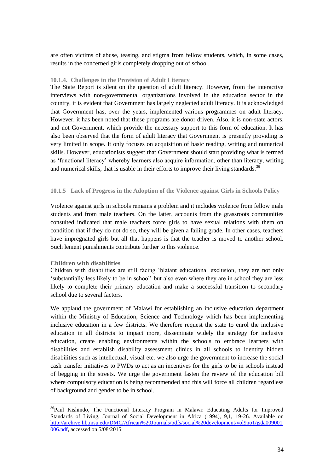are often victims of abuse, teasing, and stigma from fellow students, which, in some cases, results in the concerned girls completely dropping out of school.

#### **10.1.4. Challenges in the Provision of Adult Literacy**

The State Report is silent on the question of adult literacy. However, from the interactive interviews with non-governmental organizations involved in the education sector in the country, it is evident that Government has largely neglected adult literacy. It is acknowledged that Government has, over the years, implemented various programmes on adult literacy. However, it has been noted that these programs are donor driven. Also, it is non-state actors, and not Government, which provide the necessary support to this form of education. It has also been observed that the form of adult literacy that Government is presently providing is very limited in scope. It only focuses on acquisition of basic reading, writing and numerical skills. However, educationists suggest that Government should start providing what is termed as "functional literacy" whereby learners also acquire information, other than literacy, writing and numerical skills, that is usable in their efforts to improve their living standards.<sup>36</sup>

#### **10.1.5 Lack of Progress in the Adoption of the Violence against Girls in Schools Policy**

Violence against girls in schools remains a problem and it includes violence from fellow male students and from male teachers. On the latter, accounts from the grassroots communities consulted indicated that male teachers force girls to have sexual relations with them on condition that if they do not do so, they will be given a failing grade. In other cases, teachers have impregnated girls but all that happens is that the teacher is moved to another school. Such lenient punishments contribute further to this violence.

#### **Children with disabilities**

 $\overline{a}$ 

Children with disabilities are still facing "blatant educational exclusion, they are not only "substantially less likely to be in school" but also even where they are in school they are less likely to complete their primary education and make a successful transition to secondary school due to several factors.

We applaud the government of Malawi for establishing an inclusive education department within the Ministry of Education, Science and Technology which has been implementing inclusive education in a few districts. We therefore request the state to enrol the inclusive education in all districts to impact more, disseminate widely the strategy for inclusive education, create enabling environments within the schools to embrace learners with disabilities and establish disability assessment clinics in all schools to identify hidden disabilities such as intellectual, visual etc. we also urge the government to increase the social cash transfer initiatives to PWDs to act as an incentives for the girls to be in schools instead of begging in the streets. We urge the government fasten the review of the education bill where compulsory education is being recommended and this will force all children regardless of background and gender to be in school.

<sup>&</sup>lt;sup>36</sup>Paul Kishindo, The Functional Literacy Program in Malawi: Educating Adults for Improved Standards of Living, Journal of Social Development in Africa (1994), 9,1, 19-26. Available on [http://archive.lib.msu.edu/DMC/African%20Journals/pdfs/social%20development/vol9no1/jsda009001](http://archive.lib.msu.edu/DMC/African%20Journals/pdfs/social%20development/vol9no1/jsda009001006.pdf) [006.pdf,](http://archive.lib.msu.edu/DMC/African%20Journals/pdfs/social%20development/vol9no1/jsda009001006.pdf) accessed on 5/08/2015.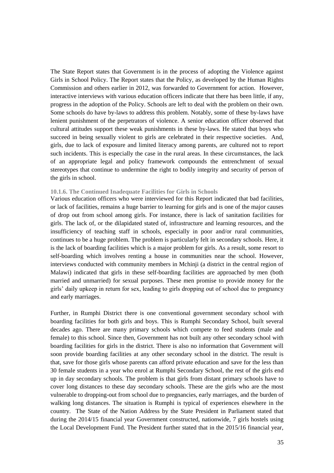The State Report states that Government is in the process of adopting the Violence against Girls in School Policy. The Report states that the Policy, as developed by the Human Rights Commission and others earlier in 2012, was forwarded to Government for action. However, interactive interviews with various education officers indicate that there has been little, if any, progress in the adoption of the Policy. Schools are left to deal with the problem on their own. Some schools do have by-laws to address this problem. Notably, some of these by-laws have lenient punishment of the perpetrators of violence. A senior education officer observed that cultural attitudes support these weak punishments in these by-laws. He stated that boys who succeed in being sexually violent to girls are celebrated in their respective societies. And, girls, due to lack of exposure and limited literacy among parents, are cultured not to report such incidents. This is especially the case in the rural areas. In these circumstances, the lack of an appropriate legal and policy framework compounds the entrenchment of sexual stereotypes that continue to undermine the right to bodily integrity and security of person of the girls in school.

#### **10.1.6. The Continued Inadequate Facilities for Girls in Schools**

Various education officers who were interviewed for this Report indicated that bad facilities, or lack of facilities, remains a huge barrier to learning for girls and is one of the major causes of drop out from school among girls. For instance, there is lack of sanitation facilities for girls. The lack of, or the dilapidated stated of, infrastructure and learning resources, and the insufficiency of teaching staff in schools, especially in poor and/or rural communities, continues to be a huge problem. The problem is particularly felt in secondary schools. Here, it is the lack of boarding facilities which is a major problem for girls. As a result, some resort to self-boarding which involves renting a house in communities near the school. However, interviews conducted with community members in Mchinji (a district in the central region of Malawi) indicated that girls in these self-boarding facilities are approached by men (both married and unmarried) for sexual purposes. These men promise to provide money for the girls" daily upkeep in return for sex, leading to girls dropping out of school due to pregnancy and early marriages.

Further, in Rumphi District there is one conventional government secondary school with boarding facilities for both girls and boys. This is Rumphi Secondary School, built several decades ago. There are many primary schools which compete to feed students (male and female) to this school. Since then, Government has not built any other secondary school with boarding facilities for girls in the district. There is also no information that Government will soon provide boarding facilities at any other secondary school in the district. The result is that, save for those girls whose parents can afford private education and save for the less than 30 female students in a year who enrol at Rumphi Secondary School, the rest of the girls end up in day secondary schools. The problem is that girls from distant primary schools have to cover long distances to these day secondary schools. These are the girls who are the most vulnerable to dropping-out from school due to pregnancies, early marriages, and the burden of walking long distances. The situation is Rumphi is typical of experiences elsewhere in the country. The State of the Nation Address by the State President in Parliament stated that during the 2014/15 financial year Government constructed, nationwide, 7 girls hostels using the Local Development Fund. The President further stated that in the 2015/16 financial year,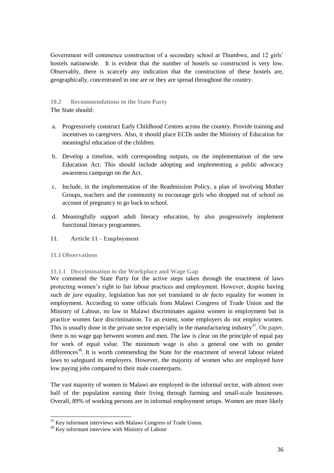Government will commence construction of a secondary school at Thumbwe, and 12 girls' hostels nationwide. It is evident that the number of hostels so constructed is very low. Observably, there is scarcely any indication that the construction of these hostels are, geographically, concentrated in one are or they are spread throughout the country.

#### **10.2 Recommendations to the State Party** The State should:

- a. Progressively construct Early Childhood Centres across the country. Provide training and incentives to caregivers. Also, it should place ECDs under the Ministry of Education for meaningful education of the children.
- b. Develop a timeline, with corresponding outputs, on the implementation of the new Education Act. This should include adopting and implementing a public advocacy awareness campaign on the Act.
- c. Include, in the implementation of the Readmission Policy, a plan of involving Mother Groups, teachers and the community to encourage girls who dropped out of school on account of pregnancy to go back to school.
- d. Meaningfully support adult literacy education, by also progressively implement functional literacy programmes.
- **11. Article 11 - Employment**

#### **11.1Observations**

#### **11.1.1 Discrimination in the Workplace and Wage Gap**

We commend the State Party for the active steps taken through the enactment of laws protecting women"s right to fair labour practices and employment. However, despite having such *de jure* equality, legislation has not yet translated in *de facto* equality for women in employment. According to some officials from Malawi Congress of Trade Union and the Ministry of Labour, no law in Malawi discriminates against women in employment but in practice women face discrimination. To an extent, some employers do not employ women. This is usually done in the private sector especially in the manufacturing industry $37$ . On paper, there is no wage gap between women and men. The law is clear on the principle of equal pay for work of equal value. The minimum wage is also a general one with no gender differences<sup>38</sup>. It is worth commending the State for the enactment of several labour related laws to safeguard its employers. However, the majority of women who are employed have low paying jobs compared to their male counterparts.

The vast majority of women in Malawi are employed in the informal sector, with almost over half of the population earning their living through farming and small-scale businesses. Overall, 89% of working persons are in informal employment setups. Women are more likely

  $37$  Key informant interviews with Malawi Congress of Trade Union.

<sup>&</sup>lt;sup>38</sup> Key informant interview with Ministry of Labour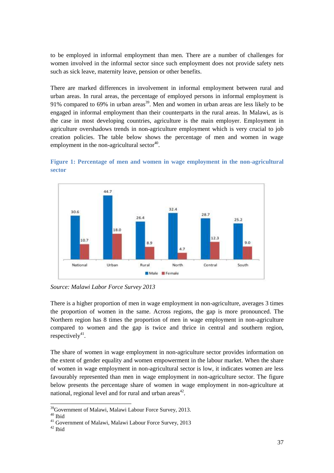to be employed in informal employment than men. There are a number of challenges for women involved in the informal sector since such employment does not provide safety nets such as sick leave, maternity leave, pension or other benefits.

There are marked differences in involvement in informal employment between rural and urban areas. In rural areas, the percentage of employed persons in informal employment is 91% compared to 69% in urban areas<sup>39</sup>. Men and women in urban areas are less likely to be engaged in informal employment than their counterparts in the rural areas. In Malawi, as is the case in most developing countries, agriculture is the main employer. Employment in agriculture overshadows trends in non-agriculture employment which is very crucial to job creation policies. The table below shows the percentage of men and women in wage employment in the non-agricultural sector $40$ .

<span id="page-36-0"></span>



*Source: Malawi Labor Force Survey 2013*

There is a higher proportion of men in wage employment in non-agriculture, averages 3 times the proportion of women in the same. Across regions, the gap is more pronounced. The Northern region has 8 times the proportion of men in wage employment in non-agriculture compared to women and the gap is twice and thrice in central and southern region, respectively<sup>41</sup>.

The share of women in wage employment in non-agriculture sector provides information on the extent of gender equality and women empowerment in the labour market. When the share of women in wage employment in non-agricultural sector is low, it indicates women are less favourably represented than men in wage employment in non-agriculture sector. The figure below presents the percentage share of women in wage employment in non-agriculture at national, regional level and for rural and urban areas $42$ .

<sup>39</sup>Government of Malawi, Malawi Labour Force Survey, 2013.

 $^{\rm 40}$  Ibid

<sup>41</sup> Government of Malawi, Malawi Labour Force Survey, 2013

 $^{\rm 42}$  Ibid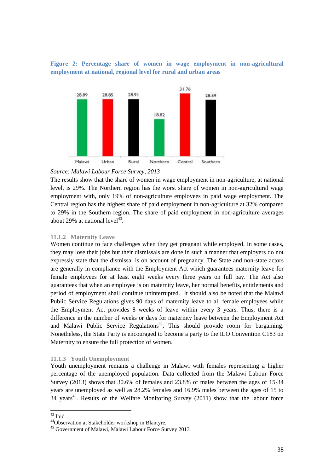<span id="page-37-0"></span>**Figure 2: Percentage share of women in wage employment in non-agricultural employment at national, regional level for rural and urban areas**



#### *Source: Malawi Labour Force Survey, 2013*

The results show that the share of women in wage employment in non-agriculture, at national level, is 29%. The Northern region has the worst share of women in non-agricultural wage employment with, only 19% of non-agriculture employees in paid wage employment. The Central region has the highest share of paid employment in non-agriculture at 32% compared to 29% in the Southern region. The share of paid employment in non-agriculture averages about 29% at national  $level^{43}$ .

#### **11.1.2 Maternity Leave**

Women continue to face challenges when they get pregnant while employed. In some cases, they may lose their jobs but their dismissals are done in such a manner that employers do not expressly state that the dismissal is on account of pregnancy. The State and non-state actors are generally in compliance with the Employment Act which guarantees maternity leave for female employees for at least eight weeks every three years on full pay. The Act also guarantees that when an employee is on maternity leave, her normal benefits, entitlements and period of employment shall continue uninterrupted. It should also be noted that the Malawi Public Service Regulations gives 90 days of maternity leave to all female employees while the Employment Act provides 8 weeks of leave within every 3 years. Thus, there is a difference in the number of weeks or days for maternity leave between the Employment Act and Malawi Public Service Regulations<sup>44</sup>. This should provide room for bargaining. Nonetheless, the State Party is encouraged to become a party to the ILO Convention C183 on Maternity to ensure the full protection of women.

#### **11.1.3 Youth Unemployment**

Youth unemployment remains a challenge in Malawi with females representing a higher percentage of the unemployed population. Data collected from the Malawi Labour Force Survey (2013) shows that 30.6% of females and 23.8% of males between the ages of 15-34 years are unemployed as well as 28.2% females and 16.9% males between the ages of 15 to  $34$  years<sup>45</sup>. Results of the Welfare Monitoring Survey (2011) show that the labour force

 $43$  Ibid

<sup>44</sup>Observation at Stakeholder workshop in Blantyre.

<sup>45</sup> Government of Malawi, Malawi Labour Force Survey 2013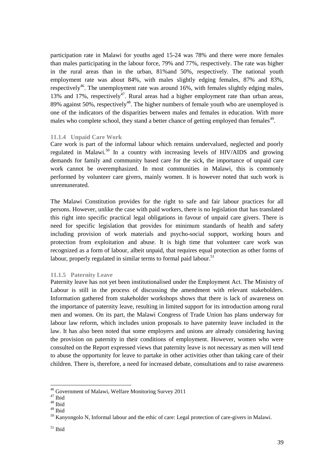participation rate in Malawi for youths aged 15-24 was 78% and there were more females than males participating in the labour force, 79% and 77%, respectively. The rate was higher in the rural areas than in the urban, 81%and 50%, respectively. The national youth employment rate was about 84%, with males slightly edging females, 87% and 83%, respectively<sup>46</sup>. The unemployment rate was around  $16\%$ , with females slightly edging males, 13% and 17%, respectively<sup>47</sup>. Rural areas had a higher employment rate than urban areas, 89% against 50%, respectively<sup>48</sup>. The higher numbers of female youth who are unemployed is one of the indicators of the disparities between males and females in education. With more males who complete school, they stand a better chance of getting employed than females<sup>49</sup>.

#### **11.1.4 Unpaid Care Work**

Care work is part of the informal labour which remains undervalued, neglected and poorly regulated in Malawi.<sup>50</sup> In a country with increasing levels of HIV/AIDS and growing demands for family and community based care for the sick, the importance of unpaid care work cannot be overemphasized. In most communities in Malawi, this is commonly performed by volunteer care givers, mainly women. It is however noted that such work is unremunerated.

The Malawi Constitution provides for the right to safe and fair labour practices for all persons. However, unlike the case with paid workers, there is no legislation that has translated this right into specific practical legal obligations in favour of unpaid care givers. There is need for specific legislation that provides for minimum standards of health and safety including provision of work materials and psycho-social support, working hours and protection from exploitation and abuse. It is high time that volunteer care work was recognized as a form of labour, albeit unpaid, that requires equal protection as other forms of labour, properly regulated in similar terms to formal paid labour.<sup>51</sup>

#### **11.1.5 Paternity Leave**

Paternity leave has not yet been institutionalised under the Employment Act. The Ministry of Labour is still in the process of discussing the amendment with relevant stakeholders. Information gathered from stakeholder workshops shows that there is lack of awareness on the importance of paternity leave, resulting in limited support for its introduction among rural men and women. On its part, the Malawi Congress of Trade Union has plans underway for labour law reform, which includes union proposals to have paternity leave included in the law. It has also been noted that some employers and unions are already considering having the provision on paternity in their conditions of employment. However, women who were consulted on the Report expressed views that paternity leave is not necessary as men will tend to abuse the opportunity for leave to partake in other activities other than taking care of their children. There is, therefore, a need for increased debate, consultations and to raise awareness

<sup>&</sup>lt;sup>46</sup> Government of Malawi, Welfare Monitoring Survey 2011

 $^{\rm 47}$  Ibid

 $48$  Ibid

<sup>49</sup> Ibid

<sup>&</sup>lt;sup>50</sup> Kanyongolo N, Informal labour and the ethic of care: Legal protection of care-givers in Malawi.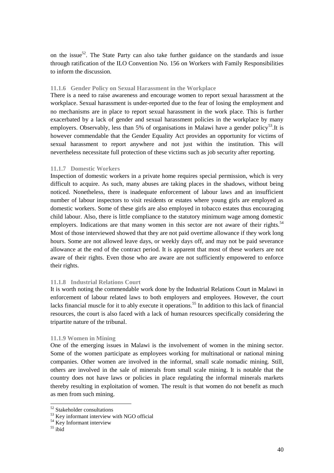on the issue<sup>52</sup>. The State Party can also take further guidance on the standards and issue through ratification of the ILO Convention No. 156 on Workers with Family Responsibilities to inform the discussion.

#### **11.1.6 Gender Policy on Sexual Harassment in the Workplace**

There is a need to raise awareness and encourage women to report sexual harassment at the workplace. Sexual harassment is under-reported due to the fear of losing the employment and no mechanisms are in place to report sexual harassment in the work place. This is further exacerbated by a lack of gender and sexual harassment policies in the workplace by many employers. Observably, less than 5% of organisations in Malawi have a gender policy<sup>53</sup>. It is however commendable that the Gender Equality Act provides an opportunity for victims of sexual harassment to report anywhere and not just within the institution. This will nevertheless necessitate full protection of these victims such as job security after reporting.

#### **11.1.7 Domestic Workers**

Inspection of domestic workers in a private home requires special permission, which is very difficult to acquire. As such, many abuses are taking places in the shadows, without being noticed. Nonetheless, there is inadequate enforcement of labour laws and an insufficient number of labour inspectors to visit residents or estates where young girls are employed as domestic workers. Some of these girls are also employed in tobacco estates thus encouraging child labour. Also, there is little compliance to the statutory minimum wage among domestic employers. Indications are that many women in this sector are not aware of their rights.<sup>54</sup> Most of those interviewed showed that they are not paid overtime allowance if they work long hours. Some are not allowed leave days, or weekly days off, and may not be paid severance allowance at the end of the contract period. It is apparent that most of these workers are not aware of their rights. Even those who are aware are not sufficiently empowered to enforce their rights.

#### **11.1.8 Industrial Relations Court**

It is worth noting the commendable work done by the Industrial Relations Court in Malawi in enforcement of labour related laws to both employers and employees. However, the court lacks financial muscle for it to ably execute it operations.<sup>55</sup> In addition to this lack of financial resources, the court is also faced with a lack of human resources specifically considering the tripartite nature of the tribunal.

#### **11.1.9 Women in Mining**

One of the emerging issues in Malawi is the involvement of women in the mining sector. Some of the women participate as employees working for multinational or national mining companies. Other women are involved in the informal, small scale nomadic mining. Still, others are involved in the sale of minerals from small scale mining. It is notable that the country does not have laws or policies in place regulating the informal minerals markets thereby resulting in exploitation of women. The result is that women do not benefit as much as men from such mining.

<sup>52</sup> Stakeholder consultations

<sup>53</sup> Key informant interview with NGO official

 $54$  Key Informant interview

 $55$  ibid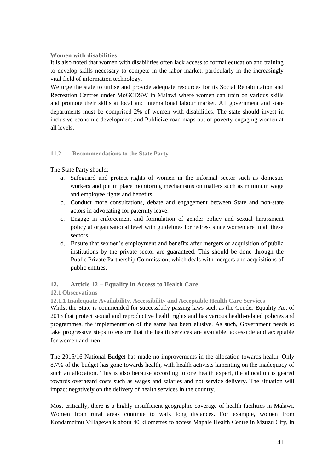## **Women with disabilities**

It is also noted that women with disabilities often lack access to formal education and training to develop skills necessary to compete in the labor market, particularly in the increasingly vital field of information technology.

We urge the state to utilise and provide adequate resources for its Social Rehabilitation and Recreation Centres under MoGCDSW in Malawi where women can train on various skills and promote their skills at local and international labour market. All government and state departments must be comprised 2% of women with disabilities. The state should invest in inclusive economic development and Publicize road maps out of poverty engaging women at all levels.

## **11.2 Recommendations to the State Party**

The State Party should;

- a. Safeguard and protect rights of women in the informal sector such as domestic workers and put in place monitoring mechanisms on matters such as minimum wage and employee rights and benefits.
- b. Conduct more consultations, debate and engagement between State and non-state actors in advocating for paternity leave.
- c. Engage in enforcement and formulation of gender policy and sexual harassment policy at organisational level with guidelines for redress since women are in all these sectors.
- d. Ensure that women"s employment and benefits after mergers or acquisition of public institutions by the private sector are guaranteed. This should be done through the Public Private Partnership Commission, which deals with mergers and acquisitions of public entities.

## **12. Article 12 – Equality in Access to Health Care**

## **12.1Observations**

**12.1.1 Inadequate Availability, Accessibility and Acceptable Health Care Services**

Whilst the State is commended for successfully passing laws such as the Gender Equality Act of 2013 that protect sexual and reproductive health rights and has various health-related policies and programmes, the implementation of the same has been elusive. As such, Government needs to take progressive steps to ensure that the health services are available, accessible and acceptable for women and men.

The 2015/16 National Budget has made no improvements in the allocation towards health. Only 8.7% of the budget has gone towards health, with health activists lamenting on the inadequacy of such an allocation. This is also because according to one health expert, the allocation is geared towards overheard costs such as wages and salaries and not service delivery. The situation will impact negatively on the delivery of health services in the country.

Most critically, there is a highly insufficient geographic coverage of health facilities in Malawi. Women from rural areas continue to walk long distances. For example, women from Kondamzimu Villagewalk about 40 kilometres to access Mapale Health Centre in Mzuzu City, in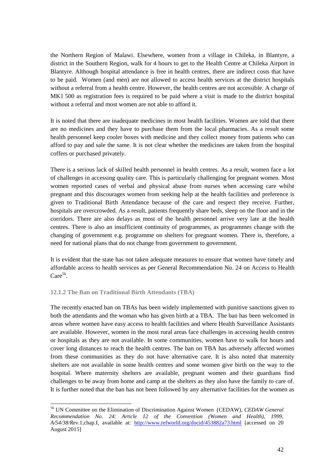the Northern Region of Malawi. Elsewhere, women from a village in Chileka, in Blantyre, a district in the Southern Region, walk for 4 hours to get to the Health Centre at Chileka Airport in Blantyre. Although hospital attendance is free in health centres, there are indirect costs that have to be paid. Women (and men) are not allowed to access health services at the district hospitals without a referral from a health centre. However, the health centres are not accessible. A charge of MK1 500 as registration fees is required to be paid where a visit is made to the district hospital without a referral and most women are not able to afford it.

It is noted that there are inadequate medicines in most health facilities. Women are told that there are no medicines and they have to purchase them from the local pharmacies. As a result some health personnel keep cooler boxes with medicine and they collect money from patients who can afford to pay and sale the same. It is not clear whether the medicines are taken from the hospital coffers or purchased privately.

There is a serious lack of skilled health personnel in health centres. As a result, women face a lot of challenges in accessing quality care. This is particularly challenging for pregnant women. Most women reported cases of verbal and physical abuse from nurses when accessing care whilst pregnant and this discourages women from seeking help at the health facilities and preference is given to Traditional Birth Attendance because of the care and respect they receive. Further, hospitals are overcrowded. As a result, patients frequently share beds, sleep on the floor and in the corridors. There are also delays as most of the health personnel arrive very late at the health centres. There is also an insufficient continuity of programmes, as programmes change with the changing of government e.g. programme on shelters for pregnant women. There is, therefore, a need for national plans that do not change from government to government.

It is evident that the state has not taken adequate measures to ensure that women have timely and affordable access to health services as per General Recommendation No. 24 on Access to Health  $Care^{56}$ .

#### **12.1.2 The Ban on Traditional Birth Attendants (TBA)**

 $\overline{a}$ 

The recently enacted ban on TBAs has been widely implemented with punitive sanctions given to both the attendants and the woman who has given birth at a TBA. The ban has been welcomed in areas where women have easy access to health facilities and where Health Surveillance Assistants are available. However, women in the most rural areas face challenges in accessing health centres or hospitals as they are not available. In some communities, women have to walk for hours and cover long distances to reach the health centres. The ban on TBA has adversely affected women from these communities as they do not have alternative care. It is also noted that maternity shelters are not available in some health centres and some women give birth on the way to the hospital. Where maternity shelters are available, pregnant women and their guardians find challenges to be away from home and camp at the shelters as they also have the family to care of. It is further noted that the ban has not been followed by any alternative facilities for the women as

<sup>56</sup> UN Committee on the Elimination of Discrimination Against Women (CEDAW), *CEDAW General Recommendation No. 24: Article 12 of the Convention (Women and Health), 1999, A/54/38/Rev.*1,chap.I, available at: <http://www.refworld.org/docid/453882a73.html> [accessed on 20 August 2015]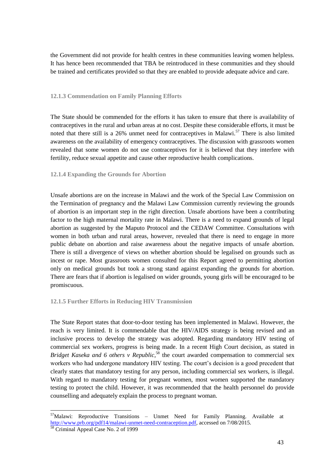the Government did not provide for health centres in these communities leaving women helpless. It has hence been recommended that TBA be reintroduced in these communities and they should be trained and certificates provided so that they are enabled to provide adequate advice and care.

#### **12.1.3 Commendation on Family Planning Efforts**

The State should be commended for the efforts it has taken to ensure that there is availability of contraceptives in the rural and urban areas at no cost. Despite these considerable efforts, it must be noted that there still is a 26% unmet need for contraceptives in Malawi.<sup>57</sup> There is also limited awareness on the availability of emergency contraceptives. The discussion with grassroots women revealed that some women do not use contraceptives for it is believed that they interfere with fertility, reduce sexual appetite and cause other reproductive health complications.

## **12.1.4 Expanding the Grounds for Abortion**

Unsafe abortions are on the increase in Malawi and the work of the Special Law Commission on the Termination of pregnancy and the Malawi Law Commission currently reviewing the grounds of abortion is an important step in the right direction. Unsafe abortions have been a contributing factor to the high maternal mortality rate in Malawi. There is a need to expand grounds of legal abortion as suggested by the Maputo Protocol and the CEDAW Committee. Consultations with women in both urban and rural areas, however, revealed that there is need to engage in more public debate on abortion and raise awareness about the negative impacts of unsafe abortion. There is still a divergence of views on whether abortion should be legalised on grounds such as incest or rape. Most grassroots women consulted for this Report agreed to permitting abortion only on medical grounds but took a strong stand against expanding the grounds for abortion. There are fears that if abortion is legalised on wider grounds, young girls will be encouraged to be promiscuous.

#### **12.1.5 Further Efforts in Reducing HIV Transmission**

The State Report states that door-to-door testing has been implemented in Malawi. However, the reach is very limited. It is commendable that the HIV/AIDS strategy is being revised and an inclusive process to develop the strategy was adopted. Regarding mandatory HIV testing of commercial sex workers, progress is being made. In a recent High Court decision, as stated in *Bridget Kaseka and 6 others v Republic,* <sup>58</sup> the court awarded compensation to commercial sex workers who had undergone mandatory HIV testing. The court's decision is a good precedent that clearly states that mandatory testing for any person, including commercial sex workers, is illegal. With regard to mandatory testing for pregnant women, most women supported the mandatory testing to protect the child. However, it was recommended that the health personnel do provide counselling and adequately explain the process to pregnant woman.

 $57$ Malawi: Reproductive Transitions – Unmet Need for Family Planning. Available at [http://www.prb.org/pdf14/malawi-unmet-need-contraception.pdf,](http://www.prb.org/pdf14/malawi-unmet-need-contraception.pdf) accessed on 7/08/2015.

<sup>&</sup>lt;sup>58</sup> Criminal Appeal Case No. 2 of 1999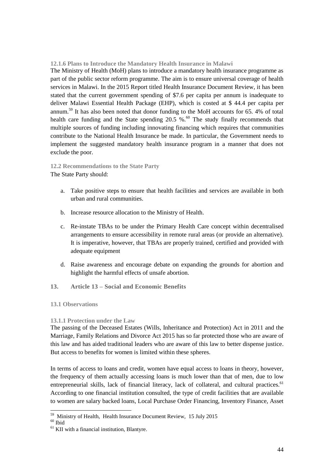**12.1.6 Plans to Introduce the Mandatory Health Insurance in Malawi**

The Ministry of Health (MoH) plans to introduce a mandatory health insurance programme as part of the public sector reform programme. The aim is to ensure universal coverage of health services in Malawi. In the 2015 Report titled Health Insurance Document Review, it has been stated that the current government spending of \$7.6 per capita per annum is inadequate to deliver Malawi Essential Health Package (EHP), which is costed at \$ 44.4 per capita per annum.<sup>59</sup> It has also been noted that donor funding to the MoH accounts for 65. 4% of total health care funding and the State spending  $20.5 \%$ . The study finally recommends that multiple sources of funding including innovating financing which requires that communities contribute to the National Health Insurance be made. In particular, the Government needs to implement the suggested mandatory health insurance program in a manner that does not exclude the poor.

**12.2 Recommendations to the State Party** The State Party should:

- a. Take positive steps to ensure that health facilities and services are available in both urban and rural communities.
- b. Increase resource allocation to the Ministry of Health.
- c. Re-instate TBAs to be under the Primary Health Care concept within decentralised arrangements to ensure accessibility in remote rural areas (or provide an alternative). It is imperative, however, that TBAs are properly trained, certified and provided with adequate equipment
- d. Raise awareness and encourage debate on expanding the grounds for abortion and highlight the harmful effects of unsafe abortion.
- **13. Article 13 – Social and Economic Benefits**

#### **13.1 Observations**

#### **13.1.1 Protection under the Law**

The passing of the Deceased Estates (Wills, Inheritance and Protection) Act in 2011 and the Marriage, Family Relations and Divorce Act 2015 has so far protected those who are aware of this law and has aided traditional leaders who are aware of this law to better dispense justice. But access to benefits for women is limited within these spheres.

In terms of access to loans and credit, women have equal access to loans in theory, however, the frequency of them actually accessing loans is much lower than that of men, due to low entrepreneurial skills, lack of financial literacy, lack of collateral, and cultural practices.<sup>61</sup> According to one financial institution consulted, the type of credit facilities that are available to women are salary backed loans, Local Purchase Order Financing, Inventory Finance, Asset

 59 Ministry of Health, Health Insurance Document Review, 15 July 2015

 $60$  Ibid

 $<sup>61</sup>$  KII with a financial institution, Blantyre.</sup>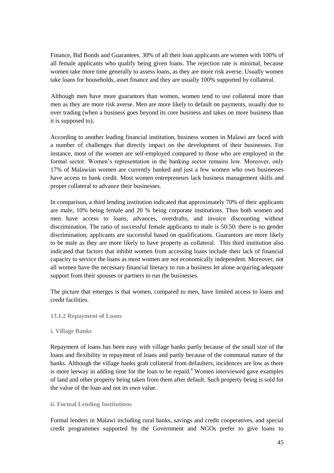Finance, Bid Bonds and Guarantees. 30% of all their loan applicants are women with 100% of all female applicants who qualify being given loans. The rejection rate is minimal, because women take more time generally to assess loans, as they are more risk averse. Usually women take loans for households, asset finance and they are usually 100% supported by collateral.

Although men have more guarantors than women, women tend to use collateral more than men as they are more risk averse. Men are more likely to default on payments, usually due to over trading (when a business goes beyond its core business and takes on more business than it is supposed to).

According to another leading financial institution, business women in Malawi are faced with a number of challenges that directly impact on the development of their businesses. For instance, most of the women are self-employed compared to those who are employed in the formal sector. Women"s representation in the banking sector remains low. Moreover, only 17% of Malawian women are currently banked and just a few women who own businesses have access to bank credit. Most women entrepreneurs lack business management skills and proper collateral to advance their businesses.

In comparison, a third lending institution indicated that approximately 70% of their applicants are male, 10% being female and 20 % being corporate institutions. Thus both women and men have access to loans, advances, overdrafts, and invoice discounting without discrimination. The ratio of successful female applicants to male is 50:50: there is no gender discrimination; applicants are successful based on qualifications. Guarantors are more likely to be male as they are more likely to have property as collateral. This third institution also indicated that factors that inhibit women from accessing loans include their lack of financial capacity to service the loans as most women are not economically independent. Moreover, not all women have the necessary financial literacy to run a business let alone acquiring adequate support from their spouses or partners to run the businesses.

The picture that emerges is that women, compared to men, have limited access to loans and credit facilities.

#### **13.1.2 Repayment of Loans**

#### **i. Village Banks**

Repayment of loans has been easy with village banks partly because of the small size of the loans and flexibility in repayment of loans and partly because of the communal nature of the banks. Although the village banks grab collateral from defaulters, incidences are low as there is more leeway in adding time for the loan to be repaid.<sup>4</sup> Women interviewed gave examples of land and other property being taken from them after default. Such property being is sold for the value of the loan and not its own value.

#### **ii. Formal Lending Institutions**

Formal lenders in Malawi including rural banks, savings and credit cooperatives, and special credit programmes supported by the Government and NGOs prefer to give loans to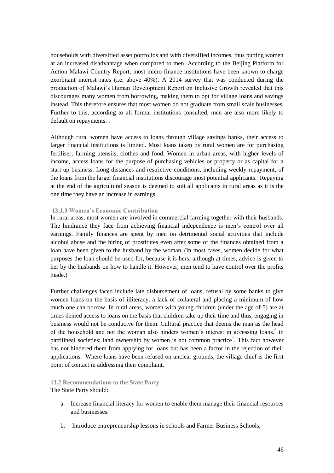households with diversified asset portfolios and with diversified incomes, thus putting women at an increased disadvantage when compared to men. According to the Beijing Platform for Action Malawi Country Report, most micro finance institutions have been known to charge exorbitant interest rates (i.e. above 40%). A 2014 survey that was conducted during the production of Malawi"s Human Development Report on Inclusive Growth revealed that this discourages many women from borrowing, making them to opt for village loans and savings instead. This therefore ensures that most women do not graduate from small scale businesses. Further to this, according to all formal institutions consulted, men are also more likely to default on repayments. .

Although rural women have access to loans through village savings banks, their access to larger financial institutions is limited. Most loans taken by rural women are for purchasing fertiliser, farming utensils, clothes and food. Women in urban areas, with higher levels of income, access loans for the purpose of purchasing vehicles or property or as capital for a start-up business. Long distances and restrictive conditions, including weekly repayment, of the loans from the larger financial institutions discourage most potential applicants. Repaying at the end of the agricultural season is deemed to suit all applicants in rural areas as it is the one time they have an increase in earnings.

#### **13.1.3 Women's Economic Contribution**

In rural areas, most women are involved in commercial farming together with their husbands. The hindrance they face from achieving financial independence is men"s control over all earnings. Family finances are spent by men on detrimental social activities that include alcohol abuse and the hiring of prostitutes even after some of the finances obtained from a loan have been given to the husband by the woman. (In most cases, women decide for what purposes the loan should be used for, because it is hers, although at times, advice is given to her by the husbands on how to handle it. However, men tend to have control over the profits made.)

Further challenges faced include late disbursement of loans, refusal by some banks to give women loans on the basis of illiteracy, a lack of collateral and placing a minimum of how much one can borrow. In rural areas, women with young children (under the age of 5) are at times denied access to loans on the basis that children take up their time and thus, engaging in business would not be conducive for them. Cultural practice that deems the man as the head of the household and not the woman also hinders women's interest in accessing loans.<sup>6</sup> in patrilineal societies; land ownership by women is not common practice<sup>7</sup>. This fact however has not hindered them from applying for loans but has been a factor in the rejection of their applications. Where loans have been refused on unclear grounds, the village chief is the first point of contact in addressing their complaint.

#### **13.2 Recommendations to the State Party**

The State Party should:

- a. Increase financial literacy for women to enable them manage their financial resources and businesses.
- b. Introduce entrepreneurship lessons in schools and Farmer Business Schools;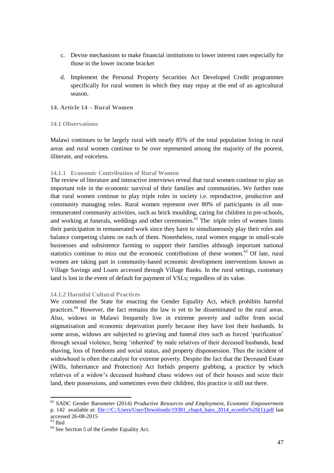- c. Devise mechanisms to make financial institutions to lower interest rates especially for those in the lower income bracket
- d. Implement the Personal Property Securities Act Developed Credit programmes specifically for rural women in which they may repay at the end of an agricultural season.

## **14. Article 14 – Rural Women**

#### **14.1 Observations**

Malawi continues to be largely rural with nearly 85% of the total population living in rural areas and rural women continue to be over represented among the majority of the poorest, illiterate, and voiceless.

## **14.1.1 Economic Contribution of Rural Women**

The review of literature and interactive interviews reveal that rural women continue to play an important role in the economic survival of their families and communities. We further note that rural women continue to play triple roles in society i.e. reproductive, productive and community managing roles. Rural women represent over 80% of participants in all nonremunerated community activities, such as brick moulding, caring for children in pre-schools, and working at funerals, weddings and other ceremonies.<sup>62</sup> The triple roles of women limits their participation in remunerated work since they have to simultaneously play their roles and balance competing claims on each of them. Nonetheless, rural women engage in small-scale businesses and subsistence farming to support their families although important national statistics continue to miss out the economic contributions of these women.<sup>63</sup> Of late, rural women are taking part in community-based economic development interventions known as Village Savings and Loans accessed through Village Banks. In the rural settings, customary land is lost in the event of default for payment of VSLs; regardless of its value.

#### **14.1.2 Harmful Cultural Practices**

We commend the State for enacting the Gender Equality Act, which prohibits harmful practices.<sup>64</sup> However, the fact remains the law is yet to be disseminated to the rural areas. Also, widows in Malawi frequently live in extreme poverty and suffer from social stigmatisation and economic deprivation purely because they have lost their husbands. In some areas, widows are subjected to grieving and funeral rites such as forced 'purification' through sexual violence, being "inherited" by male relatives of their deceased husbands, head shaving, loss of freedoms and social status, and property dispossession. Thus the incident of widowhood is often the catalyst for extreme poverty. Despite the fact that the Deceased Estate (Wills, Inheritance and Protection) Act forbids property grabbing, a practice by which relatives of a widow"s deceased husband chase widows out of their houses and seize their land, their possessions, and sometimes even their children, this practice is still out there.

<sup>62</sup> SADC Gender Barometer (2014) *Productive Resources and Employment, Economic Empowerment*  p. 142 available at: [file:///C:/Users/User/Downloads/19381\\_chap4\\_baro\\_2014\\_econfin%20\(1\).pdf](file:///C:/Documents%20and%20Settings/AMalunga/Local%20Settings/Temp/AppData/Local/Microsoft/Windows/Temporary%20Internet%20Files/AppData/Local/Microsoft/Windows/Temporary%20Internet%20Files/AppData/Local/Microsoft/Windows/Temporary%20Internet%20Files/Content.Outlook/Library/Containers/com.apple.mail/Data/User/Downloads/19381_chap4_baro_2014_econfin%20(1).pdf) last accessed 26-08-2015

 $63$  Ibid

<sup>&</sup>lt;sup>64</sup> See Section 5 of the Gender Equality Act.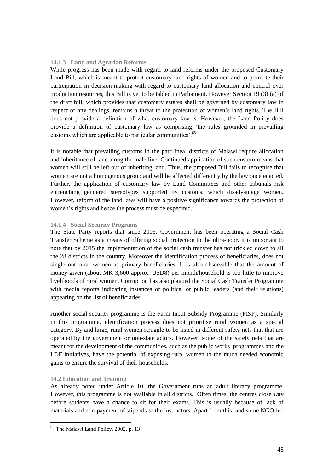#### **14.1.3 Land and Agrarian Reforms**

While progress has been made with regard to land reforms under the proposed Customary Land Bill, which is meant to protect customary land rights of women and to promote their participation in decision-making with regard to customary land allocation and control over production resources, this Bill is yet to be tabled in Parliament. However Section 19 (3) (a) of the draft bill, which provides that customary estates shall be governed by customary law in respect of any dealings, remains a threat to the protection of women"s land rights. The Bill does not provide a definition of what customary law is. However, the Land Policy does provide a definition of customary law as comprising "the rules grounded in prevailing customs which are applicable to particular communities'.<sup>65</sup>

It is notable that prevailing customs in the patrilineal districts of Malawi require allocation and inheritance of land along the male line. Continued application of such custom means that women will still be left out of inheriting land. Thus, the proposed Bill fails to recognise that women are not a homogenous group and will be affected differently by the law once enacted. Further, the application of customary law by Land Committees and other tribunals risk entrenching gendered stereotypes supported by customs, which disadvantage women. However, reform of the land laws will have a positive significance towards the protection of women"s rights and hence the process must be expedited.

## **14.1.4 Social Security Programs**

The State Party reports that since 2006, Government has been operating a Social Cash Transfer Scheme as a means of offering social protection to the ultra-poor. It is important to note that by 2015 the implementation of the social cash transfer has not trickled down to all the 28 districts in the country. Moreover the identification process of beneficiaries, does not single out rural women as primary beneficiaries. It is also observable that the amount of money given (about MK 3,600 approx. USD8) per month/household is too little to improve livelihoods of rural women. Corruption has also plagued the Social Cash Transfer Programme with media reports indicating instances of political or public leaders (and their relations) appearing on the list of beneficiaries.

Another social security programme is the Farm Input Subsidy Programme (FISP). Similarly in this programme, identification process does not prioritise rural women as a special category. By and large, rural women struggle to be listed in different safety nets that that are operated by the government or non-state actors. However, some of the safety nets that are meant for the development of the communities, such as the public works programmes and the LDF initiatives, have the potential of exposing rural women to the much needed economic gains to ensure the survival of their households.

#### **14.2 Education and Training**

As already noted under Article 10, the Government runs an adult literacy programme. However, this programme is not available in all districts. Often times, the centres close way before students have a chance to sit for their exams. This is usually because of lack of materials and non-payment of stipends to the instructors. Apart from this, and some NGO-led

<sup>&</sup>lt;sup>65</sup> The Malawi Land Policy, 2002, p. 13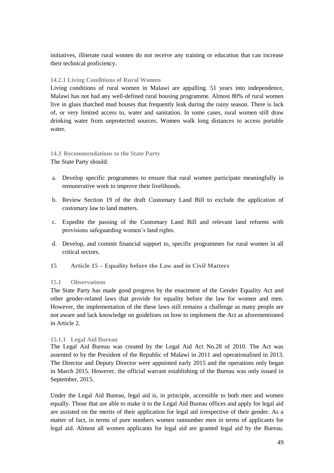initiatives, illiterate rural women do not receive any training or education that can increase their technical proficiency.

## **14.2.1 Living Conditions of Rural Women**

Living conditions of rural women in Malawi are appalling. 51 years into independence, Malawi has not had any well-defined rural housing programme. Almost 80% of rural women live in glass thatched mud houses that frequently leak during the rainy season. There is lack of, or very limited access to, water and sanitation. In some cases, rural women still draw drinking water from unprotected sources. Women walk long distances to access portable water.

## **14.3 Recommendations to the State Party**

The State Party should:

- a. Develop specific programmes to ensure that rural women participate meaningfully in remunerative work to improve their livelihoods.
- b. Review Section 19 of the draft Customary Land Bill to exclude the application of customary law to land matters.
- c. Expedite the passing of the Customary Land Bill and relevant land reforms with provisions safeguarding women"s land rights.
- d. Develop, and commit financial support to, specific programmes for rural women in all critical sectors.
- **15 Article 15 – Equality before the Law and in Civil Matters**

#### **15.1 Observations**

The State Party has made good progress by the enactment of the Gender Equality Act and other gender-related laws that provide for equality before the law for women and men. However, the implementation of the these laws still remains a challenge as many people are not aware and lack knowledge on guidelines on how to implement the Act as aforementioned in Article 2.

#### **15.1.1 Legal Aid Bureau**

The Legal Aid Bureau was created by the Legal Aid Act No.28 of 2010. The Act was assented to by the President of the Republic of Malawi in 2011 and operationalised in 2013. The Director and Deputy Director were appointed early 2015 and the operations only began in March 2015. However, the official warrant establishing of the Bureau was only issued in September, 2015.

Under the Legal Aid Bureau, legal aid is, in principle, accessible to both men and women equally. Those that are able to make it to the Legal Aid Bureau offices and apply for legal aid are assisted on the merits of their application for legal aid irrespective of their gender. As a matter of fact, in terms of pure numbers women outnumber men in terms of applicants for legal aid. Almost all women applicants for legal aid are granted legal aid by the Bureau.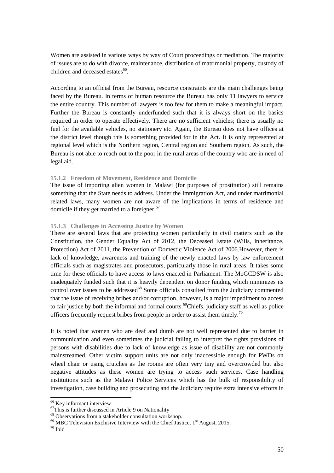Women are assisted in various ways by way of Court proceedings or mediation. The majority of issues are to do with divorce, maintenance, distribution of matrimonial property, custody of children and deceased estates<sup>66</sup>.

According to an official from the Bureau, resource constraints are the main challenges being faced by the Bureau. In terms of human resource the Bureau has only 11 lawyers to service the entire country. This number of lawyers is too few for them to make a meaningful impact. Further the Bureau is constantly underfunded such that it is always short on the basics required in order to operate effectively. There are no sufficient vehicles; there is usually no fuel for the available vehicles, no stationery etc. Again, the Bureau does not have offices at the district level though this is something provided for in the Act. It is only represented at regional level which is the Northern region, Central region and Southern region. As such, the Bureau is not able to reach out to the poor in the rural areas of the country who are in need of legal aid.

#### **15.1.2 Freedom of Movement, Residence and Domicile**

The issue of importing alien women in Malawi (for purposes of prostitution) still remains something that the State needs to address. Under the Immigration Act, and under matrimonial related laws, many women are not aware of the implications in terms of residence and domicile if they get married to a foreigner. $67$ 

#### **15.1.3 Challenges in Accessing Justice by Women**

There are several laws that are protecting women particularly in civil matters such as the Constitution, the Gender Equality Act of 2012, the Deceased Estate (Wills, Inheritance, Protection) Act of 2011, the Prevention of Domestic Violence Act of 2006.However, there is lack of knowledge, awareness and training of the newly enacted laws by law enforcement officials such as magistrates and prosecutors, particularly those in rural areas. It takes some time for these officials to have access to laws enacted in Parliament. The MoGCDSW is also inadequately funded such that it is heavily dependent on donor funding which minimizes its control over issues to be addressed<sup>68</sup> Some officials consulted from the Judiciary commented that the issue of receiving bribes and/or corruption, however, is a major impediment to access to fair justice by both the informal and formal courts.<sup>69</sup>Chiefs, judiciary staff as well as police officers frequently request bribes from people in order to assist them timely.<sup>70</sup>

It is noted that women who are deaf and dumb are not well represented due to barrier in communication and even sometimes the judicial failing to interpret the rights provisions of persons with disabilities due to lack of knowledge as issue of disability are not commonly mainstreamed. Other victim support units are not only inaccessible enough for PWDs on wheel chair or using crutches as the rooms are often very tiny and overcrowded but also negative attitudes as these women are trying to access such services. Case handling institutions such as the Malawi Police Services which has the bulk of responsibility of investigation, case building and prosecuting and the Judiciary require extra intensive efforts in

<sup>&</sup>lt;sup>66</sup> Key informant interview

 $67$ This is further discussed in Article 9 on Nationality

<sup>68</sup> Observations from a stakeholder consultation workshop.

 $69$  MBC Television Exclusive Interview with the Chief Justice,  $1<sup>st</sup>$  August, 2015.

<sup>70</sup> Ibid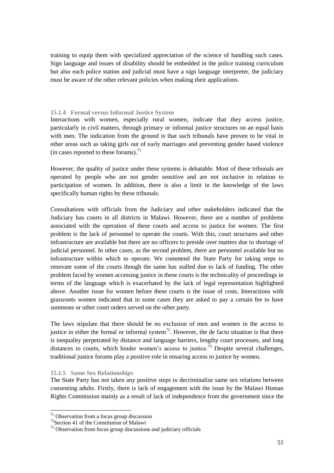training to equip them with specialized appreciation of the science of handling such cases. Sign language and issues of disability should be embedded in the police training curriculum but also each police station and judicial must have a sign language interpreter, the judiciary must be aware of the other relevant policies when making their applications.

#### **15.1.4 Formal versus Informal Justice System**

Interactions with women, especially rural women, indicate that they access justice, particularly in civil matters, through primary or informal justice structures on an equal basis with men. The indication from the ground is that such tribunals have proven to be vital in other areas such as taking girls out of early marriages and preventing gender based violence (in cases reported to these forums). $71$ 

However, the quality of justice under these systems is debatable. Most of these tribunals are operated by people who are not gender sensitive and are not inclusive in relation to participation of women. In addition, there is also a limit in the knowledge of the laws specifically human rights by these tribunals.

Consultations with officials from the Judiciary and other stakeholders indicated that the Judiciary has courts in all districts in Malawi. However, there are a number of problems associated with the operation of these courts and access to justice for women. The first problem is the lack of personnel to operate the courts. With this, court structures and other infrastructure are available but there are no officers to preside over matters due to shortage of judicial personnel. In other cases, as the second problem, there are personnel available but no infrastructure within which to operate. We commend the State Party for taking steps to renovate some of the courts though the same has stalled due to lack of funding. The other problem faced by women accessing justice in these courts is the technicality of proceedings in terms of the language which is exacerbated by the lack of legal representation highlighted above. Another issue for women before these courts is the issue of costs. Interactions with grassroots women indicated that in some cases they are asked to pay a certain fee to have summons or other court orders served on the other party.

The laws stipulate that there should be no exclusion of men and women in the access to justice in either the formal or informal system<sup>72</sup>. However, the de facto situation is that there is inequality perpetrated by distance and language barriers, lengthy court processes, and long distances to courts, which hinder women's access to justice.<sup>73</sup> Despite several challenges, traditional justice forums play a positive role in ensuring access to justice by women.

#### **15.1.5 Same Sex Relationships**

 $\overline{a}$ 

The State Party has not taken any positive steps to decriminalize same sex relations between consenting adults. Firstly, there is lack of engagement with the issue by the Malawi Human Rights Commission mainly as a result of lack of independence from the government since the

 $71$  Observation from a focus group discussion

<sup>72</sup>Section 41 of the Constitution of Malawi

<sup>&</sup>lt;sup>73</sup> Observation from focus group discussions and judiciary officials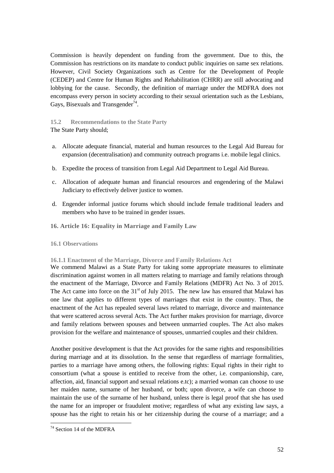Commission is heavily dependent on funding from the government. Due to this, the Commission has restrictions on its mandate to conduct public inquiries on same sex relations. However, Civil Society Organizations such as Centre for the Development of People (CEDEP) and Centre for Human Rights and Rehabilitation (CHRR) are still advocating and lobbying for the cause. Secondly, the definition of marriage under the MDFRA does not encompass every person in society according to their sexual orientation such as the Lesbians, Gays, Bisexuals and Transgender<sup>74</sup>.

## **15.2 Recommendations to the State Party**

The State Party should;

- a. Allocate adequate financial, material and human resources to the Legal Aid Bureau for expansion (decentralisation) and community outreach programs i.e. mobile legal clinics.
- b. Expedite the process of transition from Legal Aid Department to Legal Aid Bureau.
- c. Allocation of adequate human and financial resources and engendering of the Malawi Judiciary to effectively deliver justice to women.
- d. Engender informal justice forums which should include female traditional leaders and members who have to be trained in gender issues.
- **16. Article 16: Equality in Marriage and Family Law**

## **16.1 Observations**

#### **16.1.1 Enactment of the Marriage, Divorce and Family Relations Act**

We commend Malawi as a State Party for taking some appropriate measures to eliminate discrimination against women in all matters relating to marriage and family relations through the enactment of the Marriage, Divorce and Family Relations (MDFR) Act No. 3 of 2015. The Act came into force on the  $31<sup>st</sup>$  of July 2015. The new law has ensured that Malawi has one law that applies to different types of marriages that exist in the country. Thus, the enactment of the Act has repealed several laws related to marriage, divorce and maintenance that were scattered across several Acts. The Act further makes provision for marriage, divorce and family relations between spouses and between unmarried couples. The Act also makes provision for the welfare and maintenance of spouses, unmarried couples and their children.

Another positive development is that the Act provides for the same rights and responsibilities during marriage and at its dissolution. In the sense that regardless of marriage formalities, parties to a marriage have among others, the following rights: Equal rights in their right to consortium (what a spouse is entitled to receive from the other, i.e. companionship, care, affection, aid, financial support and sexual relations e.tc); a married woman can choose to use her maiden name, surname of her husband, or both; upon divorce, a wife can choose to maintain the use of the surname of her husband, unless there is legal proof that she has used the name for an improper or fraudulent motive; regardless of what any existing law says, a spouse has the right to retain his or her citizenship during the course of a marriage; and a

<sup>&</sup>lt;sup>74</sup> Section 14 of the MDFRA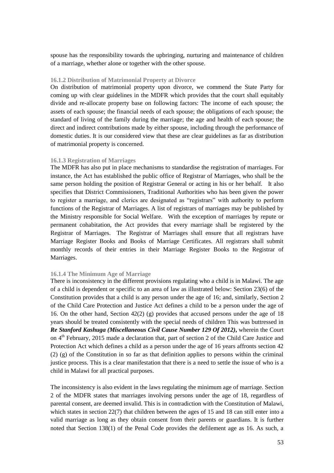spouse has the responsibility towards the upbringing, nurturing and maintenance of children of a marriage, whether alone or together with the other spouse.

#### **16.1.2 Distribution of Matrimonial Property at Divorce**

On distribution of matrimonial property upon divorce, we commend the State Party for coming up with clear guidelines in the MDFR which provides that the court shall equitably divide and re-allocate property base on following factors: The income of each spouse; the assets of each spouse; the financial needs of each spouse; the obligations of each spouse; the standard of living of the family during the marriage; the age and health of each spouse; the direct and indirect contributions made by either spouse, including through the performance of domestic duties. It is our considered view that these are clear guidelines as far as distribution of matrimonial property is concerned.

#### **16.1.3 Registration of Marriages**

The MDFR has also put in place mechanisms to standardise the registration of marriages. For instance, the Act has established the public office of Registrar of Marriages, who shall be the same person holding the position of Registrar General or acting in his or her behalf. It also specifies that District Commissioners, Traditional Authorities who has been given the power to register a marriage, and clerics are designated as "registrars" with authority to perform functions of the Registrar of Marriages. A list of registrars of marriages may be published by the Ministry responsible for Social Welfare. With the exception of marriages by repute or permanent cohabitation, the Act provides that every marriage shall be registered by the Registrar of Marriages. The Registrar of Marriages shall ensure that all registrars have Marriage Register Books and Books of Marriage Certificates. All registrars shall submit monthly records of their entries in their Marriage Register Books to the Registrar of Marriages.

#### **16.1.4 The Minimum Age of Marriage**

There is inconsistency in the different provisions regulating who a child is in Malawi. The age of a child is dependent or specific to an area of law as illustrated below: Section 23(6) of the Constitution provides that a child is any person under the age of 16; and, similarly, Section 2 of the Child Care Protection and Justice Act defines a child to be a person under the age of 16. On the other hand, Section 42(2) (g) provides that accused persons under the age of 18 years should be treated consistently with the special needs of children This was buttressed in *Re Stanford Kashuga (Miscellaneous Civil Cause Number 129 Of 2012)***,** wherein the Court on 4th February, 2015 made a declaration that, part of section 2 of the Child Care Justice and Protection Act which defines a child as a person under the age of 16 years affronts section 42 (2) (g) of the Constitution in so far as that definition applies to persons within the criminal justice process. This is a clear manifestation that there is a need to settle the issue of who is a child in Malawi for all practical purposes.

The inconsistency is also evident in the laws regulating the minimum age of marriage. Section 2 of the MDFR states that marriages involving persons under the age of 18, regardless of parental consent, are deemed invalid. This is in contradiction with the Constitution of Malawi, which states in section 22(7) that children between the ages of 15 and 18 can still enter into a valid marriage as long as they obtain consent from their parents or guardians. It is further noted that Section 138(1) of the Penal Code provides the defilement age as 16. As such, a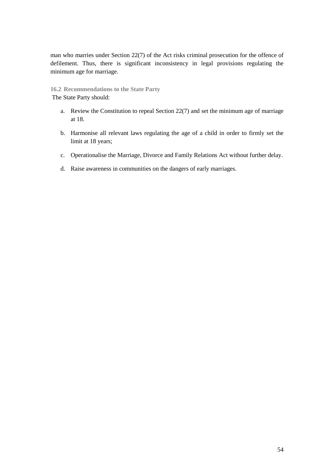man who marries under Section 22(7) of the Act risks criminal prosecution for the offence of defilement. Thus, there is significant inconsistency in legal provisions regulating the minimum age for marriage.

**16.2 Recommendations to the State Party** The State Party should:

- a. Review the Constitution to repeal Section 22(7) and set the minimum age of marriage at 18.
- b. Harmonise all relevant laws regulating the age of a child in order to firmly set the limit at 18 years;
- c. Operationalise the Marriage, Divorce and Family Relations Act without further delay.
- d. Raise awareness in communities on the dangers of early marriages.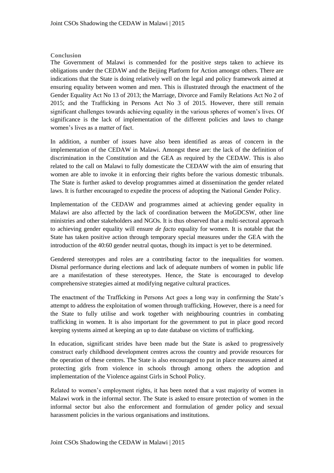## **Conclusion**

The Government of Malawi is commended for the positive steps taken to achieve its obligations under the CEDAW and the Beijing Platform for Action amongst others. There are indications that the State is doing relatively well on the legal and policy framework aimed at ensuring equality between women and men. This is illustrated through the enactment of the Gender Equality Act No 13 of 2013; the Marriage, Divorce and Family Relations Act No 2 of 2015; and the Trafficking in Persons Act No 3 of 2015. However, there still remain significant challenges towards achieving equality in the various spheres of women"s lives. Of significance is the lack of implementation of the different policies and laws to change women"s lives as a matter of fact.

In addition, a number of issues have also been identified as areas of concern in the implementation of the CEDAW in Malawi. Amongst these are: the lack of the definition of discrimination in the Constitution and the GEA as required by the CEDAW. This is also related to the call on Malawi to fully domesticate the CEDAW with the aim of ensuring that women are able to invoke it in enforcing their rights before the various domestic tribunals. The State is further asked to develop programmes aimed at dissemination the gender related laws. It is further encouraged to expedite the process of adopting the National Gender Policy.

Implementation of the CEDAW and programmes aimed at achieving gender equality in Malawi are also affected by the lack of coordination between the MoGDCSW, other line ministries and other stakeholders and NGOs. It is thus observed that a multi-sectoral approach to achieving gender equality will ensure *de facto* equality for women. It is notable that the State has taken positive action through temporary special measures under the GEA with the introduction of the 40:60 gender neutral quotas, though its impact is yet to be determined.

Gendered stereotypes and roles are a contributing factor to the inequalities for women. Dismal performance during elections and lack of adequate numbers of women in public life are a manifestation of these stereotypes. Hence, the State is encouraged to develop comprehensive strategies aimed at modifying negative cultural practices.

The enactment of the Trafficking in Persons Act goes a long way in confirming the State"s attempt to address the exploitation of women through trafficking. However, there is a need for the State to fully utilise and work together with neighbouring countries in combating trafficking in women. It is also important for the government to put in place good record keeping systems aimed at keeping an up to date database on victims of trafficking.

In education, significant strides have been made but the State is asked to progressively construct early childhood development centres across the country and provide resources for the operation of these centres. The State is also encouraged to put in place measures aimed at protecting girls from violence in schools through among others the adoption and implementation of the Violence against Girls in School Policy.

Related to women"s employment rights, it has been noted that a vast majority of women in Malawi work in the informal sector. The State is asked to ensure protection of women in the informal sector but also the enforcement and formulation of gender policy and sexual harassment policies in the various organisations and institutions.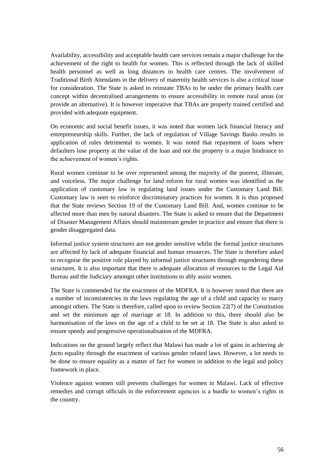Availability, accessibility and acceptable health care services remain a major challenge for the achievement of the right to health for women. This is reflected through the lack of skilled health personnel as well as long distances to health care centres. The involvement of Traditional Birth Attendants in the delivery of maternity health services is also a critical issue for consideration. The State is asked to reinstate TBAs to be under the primary health care concept within decentralised arrangements to ensure accessibility in remote rural areas (or provide an alternative). It is however imperative that TBAs are properly trained certified and provided with adequate equipment.

On economic and social benefit issues, it was noted that women lack financial literacy and entrepreneurship skills. Further, the lack of regulation of Village Savings Banks results in application of rules detrimental to women. It was noted that repayment of loans where defaulters lose property at the value of the loan and not the property is a major hindrance to the achievement of women"s rights.

Rural women continue to be over represented among the majority of the poorest, illiterate, and voiceless. The major challenge for land reform for rural women was identified as the application of customary law in regulating land issues under the Customary Land Bill. Customary law is seen to reinforce discriminatory practices for women. It is thus proposed that the State reviews Section 19 of the Customary Land Bill. And, women continue to be affected more than men by natural disasters. The State is asked to ensure that the Department of Disaster Management Affairs should mainstream gender in practice and ensure that there is gender disaggregated data.

Informal justice system structures are not gender sensitive whilst the formal justice structures are affected by lack of adequate financial and human resources. The State is therefore asked to recognise the positive role played by informal justice structures through engendering these structures. It is also important that there is adequate allocation of resources to the Legal Aid Bureau and the Judiciary amongst other institutions to ably assist women.

The State is commended for the enactment of the MDFRA. It is however noted that there are a number of inconsistencies in the laws regulating the age of a child and capacity to marry amongst others. The State is therefore, called upon to review Section 22(7) of the Constitution and set the minimum age of marriage at 18. In addition to this, there should also be harmonisation of the laws on the age of a child to be set at 18. The State is also asked to ensure speedy and progressive operationalisation of the MDFRA.

Indications on the ground largely reflect that Malawi has made a lot of gains in achieving *de facto* equality through the enactment of various gender related laws. However, a lot needs to be done to ensure equality as a matter of fact for women in addition to the legal and policy framework in place.

Violence against women still prevents challenges for women in Malawi. Lack of effective remedies and corrupt officials in the enforcement agencies is a hurdle to women"s rights in the country.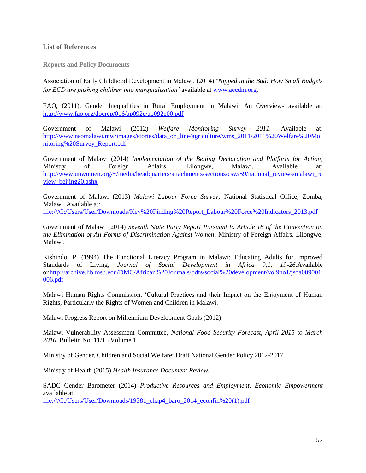#### **List of References**

**Reports and Policy Documents**

Association of Early Childhood Development in Malawi, (2014) "*Nipped in the Bud: How Small Budgets for ECD are pushing children into marginalisation'* available at [www.aecdm.org.](http://www.aecdm.org/)

FAO, (2011), Gender Inequalities in Rural Employment in Malawi: An Overview- available at: <http://www.fao.org/docrep/016/ap092e/ap092e00.pdf>

Government of Malawi (2012) *Welfare Monitoring Survey 2011.* Available at: [http://www.nsomalawi.mw/images/stories/data\\_on\\_line/agriculture/wms\\_2011/2011%20Welfare%20Mo](http://www.nsomalawi.mw/images/stories/data_on_line/agriculture/wms_2011/2011%20Welfare%20Monitoring%20Survey_Report.pdf) [nitoring%20Survey\\_Report.pdf](http://www.nsomalawi.mw/images/stories/data_on_line/agriculture/wms_2011/2011%20Welfare%20Monitoring%20Survey_Report.pdf)

Government of Malawi (2014) *Implementation of the Beijing Declaration and Platform for Action*; Ministry of Foreign Affairs, Lilongwe, Malawi. Available at: [http://www.unwomen.org/~/media/headquarters/attachments/sections/csw/59/national\\_reviews/malawi\\_re](http://www.unwomen.org/~/media/headquarters/attachments/sections/csw/59/national_reviews/malawi_review_beijing20.ashx) [view\\_beijing20.ashx](http://www.unwomen.org/~/media/headquarters/attachments/sections/csw/59/national_reviews/malawi_review_beijing20.ashx)

Government of Malawi (2013) *Malawi Labour Force Survey;* National Statistical Office, Zomba, Malawi. Available at:

[file:///C:/Users/User/Downloads/Key%20Finding%20Report\\_Labour%20Force%20Indicators\\_2013.pdf](file:///C:/Documents%20and%20Settings/AMalunga/Local%20Settings/Temp/AppData/Local/Microsoft/Windows/Temporary%20Internet%20Files/AppData/Local/Microsoft/Windows/Temporary%20Internet%20Files/AppData/Local/Microsoft/Windows/Temporary%20Internet%20Files/Content.Outlook/Library/Containers/com.apple.mail/Data/User/Downloads/Key%20Finding%20Report_Labour%20Force%20Indicators_2013.pdf) 

Government of Malawi (2014) *Seventh State Party Report Pursuant to Article 18 of the Convention on the Elimination of All Forms of Discrimination Against Women*; Ministry of Foreign Affairs, Lilongwe, Malawi.

Kishindo, P, (1994) The Functional Literacy Program in Malawi: Educating Adults for Improved Standards of Living, *Journal of Social Development in Africa 9,1, 19-26*.Available o[nhttp://archive.lib.msu.edu/DMC/African%20Journals/pdfs/social%20development/vol9no1/jsda009001](http://archive.lib.msu.edu/DMC/African%20Journals/pdfs/social%20development/vol9no1/jsda009001006.pdf) [006.pdf](http://archive.lib.msu.edu/DMC/African%20Journals/pdfs/social%20development/vol9no1/jsda009001006.pdf)

Malawi Human Rights Commission, "Cultural Practices and their Impact on the Enjoyment of Human Rights, Particularly the Rights of Women and Children in Malawi.

Malawi Progress Report on Millennium Development Goals (2012)

Malawi Vulnerability Assessment Committee, *National Food Security Forecast, April 2015 to March 2016.* Bulletin No. 11/15 Volume 1.

Ministry of Gender, Children and Social Welfare: Draft National Gender Policy 2012-2017.

Ministry of Health (2015) *Health Insurance Document Review.*

SADC Gender Barometer (2014) *Productive Resources and Employment, Economic Empowerment*  available at:

[file:///C:/Users/User/Downloads/19381\\_chap4\\_baro\\_2014\\_econfin%20\(1\).pdf](file:///C:/Documents%20and%20Settings/AMalunga/Local%20Settings/Temp/AppData/Local/Microsoft/Windows/Temporary%20Internet%20Files/AppData/Local/Microsoft/Windows/Temporary%20Internet%20Files/AppData/Local/Microsoft/Windows/Temporary%20Internet%20Files/Content.Outlook/Library/Containers/com.apple.mail/Data/User/Downloads/19381_chap4_baro_2014_econfin%20(1).pdf)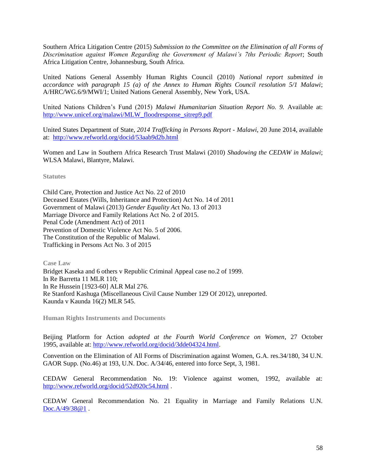Southern Africa Litigation Centre (2015) *Submission to the Committee on the Elimination of all Forms of Discrimination against Women Regarding the Government of Malawi's 7ths Periodic Report*; South Africa Litigation Centre, Johannesburg, South Africa.

United Nations General Assembly Human Rights Council (2010) *National report submitted in accordance with paragraph 15 (a) of the Annex to Human Rights Council resolution 5/1 Malawi*; A/HRC/WG.6/9/MWI/1; United Nations General Assembly, New York, USA.

United Nations Children"s Fund (2015) *Malawi Humanitarian Situation Report No. 9.* Available at: [http://www.unicef.org/malawi/MLW\\_floodresponse\\_sitrep9.pdf](http://www.unicef.org/malawi/MLW_floodresponse_sitrep9.pdf)

United States Department of State, *2014 Trafficking in Persons Report - Malawi*, 20 June 2014, available at: <http://www.refworld.org/docid/53aab9d2b.html>

Women and Law in Southern Africa Research Trust Malawi (2010) *Shadowing the CEDAW in Malawi*; WLSA Malawi, Blantyre, Malawi.

**Statutes**

Child Care, Protection and Justice Act No. 22 of 2010 Deceased Estates (Wills, Inheritance and Protection) Act No. 14 of 2011 Government of Malawi (2013) *Gender Equality Ac*t No. 13 of 2013 Marriage Divorce and Family Relations Act No. 2 of 2015. Penal Code (Amendment Act) of 2011 Prevention of Domestic Violence Act No. 5 of 2006. The Constitution of the Republic of Malawi. Trafficking in Persons Act No. 3 of 2015

**Case Law** 

Bridget Kaseka and 6 others v Republic Criminal Appeal case no.2 of 1999. In Re Barretta 11 MLR 110; In Re Hussein [1923-60] ALR Mal 276. Re Stanford Kashuga (Miscellaneous Civil Cause Number 129 Of 2012), unreported. Kaunda v Kaunda 16(2) MLR 545.

**Human Rights Instruments and Documents**

Beijing Platform for Action *adopted at the Fourth World Conference on Women*, 27 October 1995, available at[: http://www.refworld.org/docid/3dde04324.html.](http://www.refworld.org/docid/3dde04324.html)

Convention on the Elimination of All Forms of Discrimination against Women, G.A. res.34/180, 34 U.N. GAOR Supp. (No.46) at 193, U.N. Doc. A/34/46, entered into force Sept, 3, 1981.

CEDAW General Recommendation No. 19: Violence against women, 1992, available at: <http://www.refworld.org/docid/52d920c54.html> .

CEDAW General Recommendation No. 21 Equality in Marriage and Family Relations U.N. [Doc.A/49/38@1](mailto:Doc.A/49/38@1).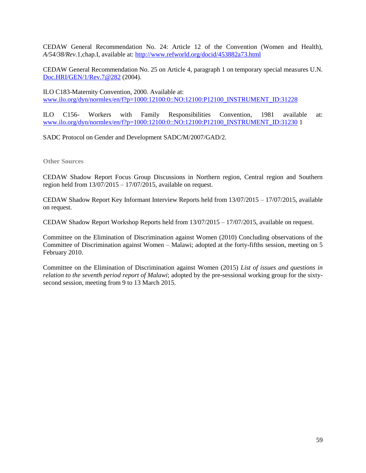CEDAW General Recommendation No. 24: Article 12 of the Convention (Women and Health), *A/54/38/Rev.*1,chap.I, available at:<http://www.refworld.org/docid/453882a73.html>

CEDAW General Recommendation No. 25 on Article 4, paragraph 1 on temporary special measures U.N. [Doc.HRI/GEN/1/Rev.7@282](mailto:Doc.HRI/GEN/1/Rev.7@282) (2004).

ILO C183-Maternity Convention, 2000. Available at: [www.ilo.org/dyn/normlex/en/f?p=1000:12100:0::NO:12100:P12100\\_INSTRUMENT\\_ID:31228](http://www.ilo.org/dyn/normlex/en/f?p=1000:12100:0::NO:12100:P12100_INSTRUMENT_ID:31228)

ILO C156- Workers with Family Responsibilities Convention, 1981 available at: [www.ilo.org/dyn/normlex/en/f?p=1000:12100:0::NO:12100:P12100\\_INSTRUMENT\\_ID:31230](http://www.ilo.org/dyn/normlex/en/f?p=1000:12100:0::NO:12100:P12100_INSTRUMENT_ID:31230) 1

SADC Protocol on Gender and Development SADC/M/2007/GAD/2.

**Other Sources**

CEDAW Shadow Report Focus Group Discussions in Northern region, Central region and Southern region held from  $13/07/2015 - 17/07/2015$ , available on request.

CEDAW Shadow Report Key Informant Interview Reports held from 13/07/2015 – 17/07/2015, available on request.

CEDAW Shadow Report Workshop Reports held from 13/07/2015 – 17/07/2015, available on request.

Committee on the Elimination of Discrimination against Women (2010) Concluding observations of the Committee of Discrimination against Women – Malawi; adopted at the forty-fifths session, meeting on 5 February 2010.

Committee on the Elimination of Discrimination against Women (2015) *List of issues and questions in relation to the seventh period report of Malawi*; adopted by the pre-sessional working group for the sixtysecond session, meeting from 9 to 13 March 2015.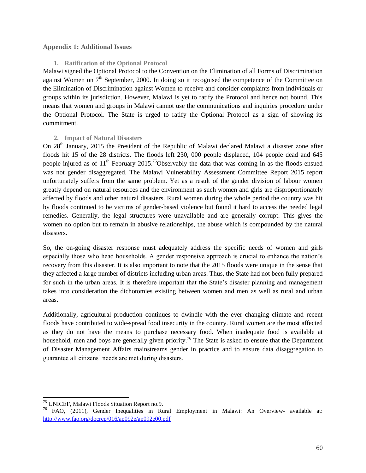#### **Appendix 1: Additional Issues**

#### **1. Ratification of the Optional Protocol**

Malawi signed the Optional Protocol to the Convention on the Elimination of all Forms of Discrimination against Women on 7<sup>th</sup> September, 2000. In doing so it recognised the competence of the Committee on the Elimination of Discrimination against Women to receive and consider complaints from individuals or groups within its jurisdiction. However, Malawi is yet to ratify the Protocol and hence not bound. This means that women and groups in Malawi cannot use the communications and inquiries procedure under the Optional Protocol. The State is urged to ratify the Optional Protocol as a sign of showing its commitment.

#### **2. Impact of Natural Disasters**

On 28<sup>th</sup> January, 2015 the President of the Republic of Malawi declared Malawi a disaster zone after floods hit 15 of the 28 districts. The floods left 230, 000 people displaced, 104 people dead and 645 people injured as of  $11<sup>th</sup>$  February 2015.<sup>75</sup>Observably the data that was coming in as the floods ensued was not gender disaggregated. The Malawi Vulnerability Assessment Committee Report 2015 report unfortunately suffers from the same problem. Yet as a result of the gender division of labour women greatly depend on natural resources and the environment as such women and girls are disproportionately affected by floods and other natural disasters. Rural women during the whole period the country was hit by floods continued to be victims of gender-based violence but found it hard to access the needed legal remedies. Generally, the legal structures were unavailable and are generally corrupt. This gives the women no option but to remain in abusive relationships, the abuse which is compounded by the natural disasters.

So, the on-going disaster response must adequately address the specific needs of women and girls especially those who head households. A gender responsive approach is crucial to enhance the nation's recovery from this disaster. It is also important to note that the 2015 floods were unique in the sense that they affected a large number of districts including urban areas. Thus, the State had not been fully prepared for such in the urban areas. It is therefore important that the State's disaster planning and management takes into consideration the dichotomies existing between women and men as well as rural and urban areas.

Additionally, agricultural production continues to dwindle with the ever changing climate and recent floods have contributed to wide-spread food insecurity in the country. Rural women are the most affected as they do not have the means to purchase necessary food. When inadequate food is available at household, men and boys are generally given priority.<sup>76</sup> The State is asked to ensure that the Department of Disaster Management Affairs mainstreams gender in practice and to ensure data disaggregation to guarantee all citizens" needs are met during disasters.

l

<sup>&</sup>lt;sup>75</sup> UNICEF, Malawi Floods Situation Report no.9.

<sup>&</sup>lt;sup>76</sup> FAO, (2011), Gender Inequalities in Rural Employment in Malawi: An Overview- available at: <http://www.fao.org/docrep/016/ap092e/ap092e00.pdf>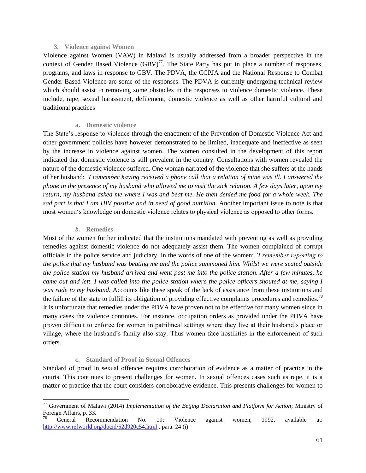#### **3. Violence against Women**

Violence against Women (VAW) in Malawi is usually addressed from a broader perspective in the context of Gender Based Violence  $(BBV)^{77}$ . The State Party has put in place a number of responses, programs, and laws in response to GBV. The PDVA, the CCPJA and the National Response to Combat Gender Based Violence are some of the responses. The PDVA is currently undergoing technical review which should assist in removing some obstacles in the responses to violence domestic violence. These include, rape, sexual harassment, defilement, domestic violence as well as other harmful cultural and traditional practices

#### **a. Domestic violence**

The State"s response to violence through the enactment of the Prevention of Domestic Violence Act and other government policies have however demonstrated to be limited, inadequate and ineffective as seen by the increase in violence against women. The women consulted in the development of this report indicated that domestic violence is still prevalent in the country. Consultations with women revealed the nature of the domestic violence suffered. One woman narrated of the violence that she suffers at the hands of her husband: *'I remember having received a phone call that a relation of mine was ill. I answered the phone in the presence of my husband who allowed me to visit the sick relation. A few days later, upon my return, my husband asked me where I was and beat me. He then denied me food for a whole week. The sad part is that I am HIV positive and in need of good nutrition.* Another important issue to note is that most women"s knowledge on domestic violence relates to physical violence as opposed to other forms.

#### *b.* **Remedies**

l

Most of the women further indicated that the institutions mandated with preventing as well as providing remedies against domestic violence do not adequately assist them. The women complained of corrupt officials in the police service and judiciary. In the words of one of the women: *'I remember reporting to the police that my husband was beating me and the police summoned him. Whilst we were seated outside the police station my husband arrived and went past me into the police station. After a few minutes, he came out and left. I was called into the police station where the police officers shouted at me, saying I was rude to my husband.* Accounts like these speak of the lack of assistance from these institutions and the failure of the state to fulfill its obligation of providing effective complaints procedures and remedies.<sup>78</sup> It is unfortunate that remedies under the PDVA have proven not to be effective for many women since in many cases the violence continues. For instance, occupation orders as provided under the PDVA have proven difficult to enforce for women in patrilineal settings where they live at their husband"s place or village, where the husband"s family also stay. Thus women face hostilities in the enforcement of such orders.

## **c. Standard of Proof in Sexual Offences**

Standard of proof in sexual offences requires corroboration of evidence as a matter of practice in the courts. This continues to present challenges for women. In sexual offences cases such as rape, it is a matter of practice that the court considers corroborative evidence. This presents challenges for women to

<sup>77</sup> Government of Malawi (2014) *Implementation of the Beijing Declaration and Platform for Action*; Ministry of Foreign Affairs, p. 33.

<sup>78</sup> General Recommendation No. 19: Violence against women, 1992, available at: <http://www.refworld.org/docid/52d920c54.html> . para. 24 (i)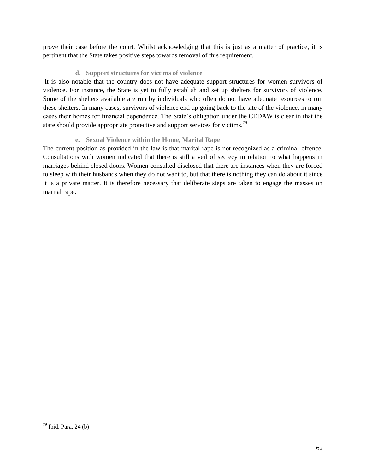prove their case before the court. Whilst acknowledging that this is just as a matter of practice, it is pertinent that the State takes positive steps towards removal of this requirement.

## **d. Support structures for victims of violence**

It is also notable that the country does not have adequate support structures for women survivors of violence. For instance, the State is yet to fully establish and set up shelters for survivors of violence. Some of the shelters available are run by individuals who often do not have adequate resources to run these shelters. In many cases, survivors of violence end up going back to the site of the violence, in many cases their homes for financial dependence. The State"s obligation under the CEDAW is clear in that the state should provide appropriate protective and support services for victims.<sup>79</sup>

## **e. Sexual Violence within the Home, Marital Rape**

The current position as provided in the law is that marital rape is not recognized as a criminal offence. Consultations with women indicated that there is still a veil of secrecy in relation to what happens in marriages behind closed doors. Women consulted disclosed that there are instances when they are forced to sleep with their husbands when they do not want to, but that there is nothing they can do about it since it is a private matter. It is therefore necessary that deliberate steps are taken to engage the masses on marital rape.

l

 $79$  Ibid, Para. 24 (b)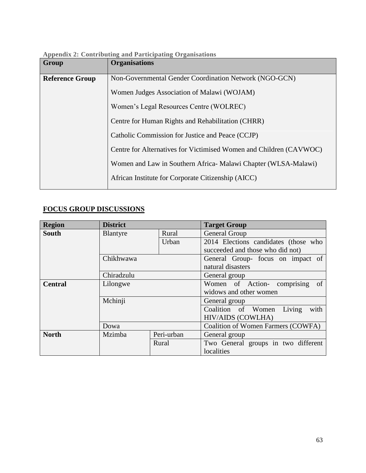| <b>Appendix 2: Contributing and Participating Organisations</b> |  |
|-----------------------------------------------------------------|--|
|                                                                 |  |

| Group                                   | <b>Organisations</b>                                               |  |
|-----------------------------------------|--------------------------------------------------------------------|--|
| <b>Reference Group</b>                  | Non-Governmental Gender Coordination Network (NGO-GCN)             |  |
|                                         | Women Judges Association of Malawi (WOJAM)                         |  |
| Women's Legal Resources Centre (WOLREC) |                                                                    |  |
|                                         | Centre for Human Rights and Rehabilitation (CHRR)                  |  |
|                                         | Catholic Commission for Justice and Peace (CCJP)                   |  |
|                                         | Centre for Alternatives for Victimised Women and Children (CAVWOC) |  |
|                                         | Women and Law in Southern Africa- Malawi Chapter (WLSA-Malawi)     |  |
|                                         | African Institute for Corporate Citizenship (AICC)                 |  |

## **FOCUS GROUP DISCUSSIONS**

| <b>Region</b>  | <b>District</b>     |                                    | <b>Target Group</b>                  |
|----------------|---------------------|------------------------------------|--------------------------------------|
| <b>South</b>   | Blantyre            | Rural                              | General Group                        |
|                |                     | Urban                              | 2014 Elections candidates (those who |
|                |                     |                                    | succeeded and those who did not)     |
|                | Chikhwawa           |                                    | General Group- focus on impact of    |
|                |                     |                                    | natural disasters                    |
|                | Chiradzulu          |                                    | General group                        |
| <b>Central</b> | Lilongwe<br>Mchinji |                                    | Women of Action- comprising<br>of    |
|                |                     |                                    | widows and other women               |
|                |                     |                                    | General group                        |
|                |                     |                                    | Living<br>with<br>Coalition of Women |
|                |                     |                                    | <b>HIV/AIDS (COWLHA)</b>             |
| Dowa           |                     | Coalition of Women Farmers (COWFA) |                                      |
| <b>North</b>   | Mzimba              | Peri-urban                         | General group                        |
|                |                     | Rural                              | Two General groups in two different  |
|                |                     |                                    | localities                           |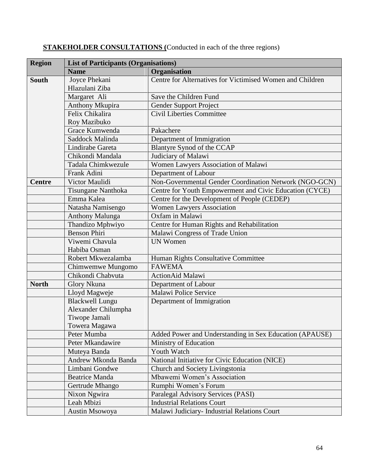| <b>Region</b> | <b>List of Participants (Organisations)</b> |                                                           |  |
|---------------|---------------------------------------------|-----------------------------------------------------------|--|
|               | <b>Name</b>                                 | Organisation                                              |  |
| <b>South</b>  | Joyce Phekani                               | Centre for Alternatives for Victimised Women and Children |  |
|               | Hlazulani Ziba                              |                                                           |  |
|               | Margaret Ali                                | Save the Children Fund                                    |  |
|               | Anthony Mkupira                             | Gender Support Project                                    |  |
|               | Felix Chikalira                             | Civil Liberties Committee                                 |  |
|               | Roy Mazibuko                                |                                                           |  |
|               | Grace Kumwenda                              | Pakachere                                                 |  |
|               | Saddock Malinda                             | Department of Immigration                                 |  |
|               | Lindirabe Gareta                            | Blantyre Synod of the CCAP                                |  |
|               | Chikondi Mandala                            | Judiciary of Malawi                                       |  |
|               | Tadala Chimkwezule                          | Women Lawyers Association of Malawi                       |  |
|               | Frank Adini                                 | Department of Labour                                      |  |
| <b>Centre</b> | Victor Maulidi                              | Non-Governmental Gender Coordination Network (NGO-GCN)    |  |
|               | Tisungane Nanthoka                          | Centre for Youth Empowerment and Civic Education (CYCE)   |  |
|               | Emma Kalea                                  | Centre for the Development of People (CEDEP)              |  |
|               | Natasha Namisengo                           | <b>Women Lawyers Association</b>                          |  |
|               | <b>Anthony Malunga</b>                      | Oxfam in Malawi                                           |  |
|               | Thandizo Mphwiyo                            | Centre for Human Rights and Rehabilitation                |  |
|               | <b>Benson Phiri</b>                         | Malawi Congress of Trade Union                            |  |
|               | Viwemi Chavula                              | <b>UN Women</b>                                           |  |
|               | Habiba Osman                                |                                                           |  |
|               | Robert Mkwezalamba                          | Human Rights Consultative Committee                       |  |
|               | Chimwemwe Mungomo                           | <b>FAWEMA</b>                                             |  |
|               | Chikondi Chabvuta                           | <b>ActionAid Malawi</b>                                   |  |
| <b>North</b>  | <b>Glory Nkuna</b>                          | Department of Labour                                      |  |
|               | Lloyd Magweje                               | Malawi Police Service                                     |  |
|               | <b>Blackwell Lungu</b>                      | Department of Immigration                                 |  |
|               | Alexander Chilumpha                         |                                                           |  |
|               | Tiwope Jamali                               |                                                           |  |
|               | Towera Magawa                               |                                                           |  |
|               | Peter Mumba                                 | Added Power and Understanding in Sex Education (APAUSE)   |  |
|               | Peter Mkandawire                            | Ministry of Education                                     |  |
|               | Muteya Banda                                | Youth Watch                                               |  |
|               | Andrew Mkonda Banda                         | National Initiative for Civic Education (NICE)            |  |
|               | Limbani Gondwe                              | Church and Society Livingstonia                           |  |
|               | <b>Beatrice Manda</b>                       | Mbawemi Women's Association                               |  |
|               | Gertrude Mhango                             | Rumphi Women's Forum                                      |  |
|               | Nixon Ngwira                                | Paralegal Advisory Services (PASI)                        |  |
|               | Leah Mbizi                                  | <b>Industrial Relations Court</b>                         |  |
|               | Austin Msowoya                              | Malawi Judiciary- Industrial Relations Court              |  |

## **STAKEHOLDER CONSULTATIONS (**Conducted in each of the three regions)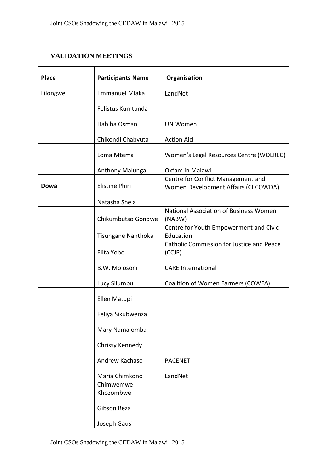## **VALIDATION MEETINGS**

| <b>Place</b> | <b>Participants Name</b> | Organisation                                                              |
|--------------|--------------------------|---------------------------------------------------------------------------|
| Lilongwe     | <b>Emmanuel Mlaka</b>    | LandNet                                                                   |
|              | Felistus Kumtunda        |                                                                           |
|              | Habiba Osman             | <b>UN Women</b>                                                           |
|              | Chikondi Chabvuta        | <b>Action Aid</b>                                                         |
|              | Loma Mtema               | Women's Legal Resources Centre (WOLREC)                                   |
|              | Anthony Malunga          | Oxfam in Malawi                                                           |
| Dowa         | <b>Elistine Phiri</b>    | Centre for Conflict Management and<br>Women Development Affairs (CECOWDA) |
|              | Natasha Shela            |                                                                           |
|              | Chikumbutso Gondwe       | National Association of Business Women<br>(NABW)                          |
|              | Tisungane Nanthoka       | Centre for Youth Empowerment and Civic<br>Education                       |
|              | Elita Yobe               | Catholic Commission for Justice and Peace<br>(CCJP)                       |
|              | B.W. Molosoni            | <b>CARE</b> International                                                 |
|              | Lucy Silumbu             | Coalition of Women Farmers (COWFA)                                        |
|              | Ellen Matupi             |                                                                           |
|              | Feliya Sikubwenza        |                                                                           |
|              | Mary Namalomba           |                                                                           |
|              | Chrissy Kennedy          |                                                                           |
|              | Andrew Kachaso           | <b>PACENET</b>                                                            |
|              | Maria Chimkono           | LandNet                                                                   |
|              | Chimwemwe<br>Khozombwe   |                                                                           |
|              | Gibson Beza              |                                                                           |
|              | Joseph Gausi             |                                                                           |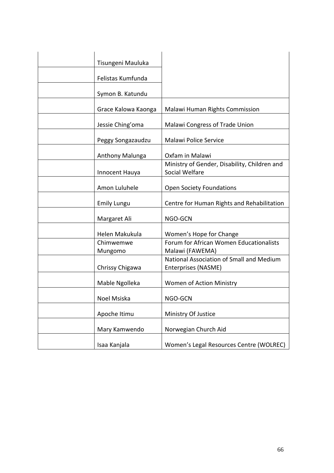| Tisungeni Mauluka   |                                                                 |
|---------------------|-----------------------------------------------------------------|
|                     |                                                                 |
| Felistas Kumfunda   |                                                                 |
| Symon B. Katundu    |                                                                 |
| Grace Kalowa Kaonga | Malawi Human Rights Commission                                  |
| Jessie Ching'oma    | Malawi Congress of Trade Union                                  |
| Peggy Songazaudzu   | Malawi Police Service                                           |
| Anthony Malunga     | Oxfam in Malawi                                                 |
| Innocent Hauya      | Ministry of Gender, Disability, Children and<br>Social Welfare  |
| Amon Luluhele       | <b>Open Society Foundations</b>                                 |
| <b>Emily Lungu</b>  | Centre for Human Rights and Rehabilitation                      |
| Margaret Ali        | NGO-GCN                                                         |
| Helen Makukula      | Women's Hope for Change                                         |
| Chimwemwe           | Forum for African Women Educationalists                         |
| Mungomo             | Malawi (FAWEMA)                                                 |
| Chrissy Chigawa     | National Association of Small and Medium<br>Enterprises (NASME) |
|                     | Women of Action Ministry                                        |
| Mable Ngolleka      |                                                                 |
| Noel Msiska         | NGO-GCN                                                         |
| Apoche Itimu        | Ministry Of Justice                                             |
| Mary Kamwendo       | Norwegian Church Aid                                            |
| Isaa Kanjala        | Women's Legal Resources Centre (WOLREC)                         |